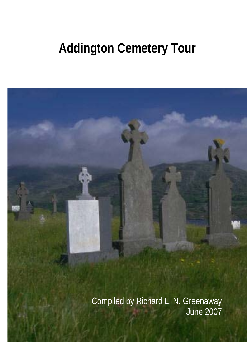# **Addington Cemetery Tour**

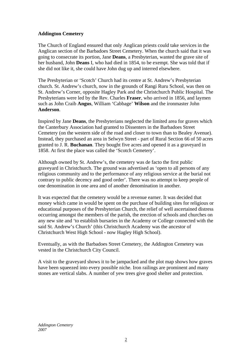# **Addington Cemetery**

The Church of England ensured that only Anglican priests could take services in the Anglican section of the Barbadoes Street Cemetery. When the church said that it was going to consecrate its portion, Jane **Deans**, a Presbyterian, wanted the grave site of her husband, John **Deans** I, who had died in 1854, to be exempt. She was told that if she did not like it, she could have John dug up and interred elsewhere.

The Presbyterian or 'Scotch' Church had its centre at St. Andrew's Presbyterian church. St. Andrew's church, now in the grounds of Rangi Ruru School, was then on St. Andrew's Corner, opposite Hagley Park and the Christchurch Public Hospital. The Presbyterians were led by the Rev. Charles **Fraser**, who arrived in 1856, and laymen such as John Craib **Angus**, William 'Cabbage' **Wilson** and the ironmaster John **Anderson**.

Inspired by Jane **Deans**, the Presbyterians neglected the limited area for graves which the Canterbury Association had granted to Dissenters in the Barbadoes Street Cemetery (on the western side of the road and closer to town than to Bealey Avenue). Instead, they purchased an area in Selwyn Street - part of Rural Section 66 of 50 acres granted to J. R. **Buchanan**. They bought five acres and opened it as a graveyard in 1858. At first the place was called the 'Scotch Cemetery'.

Although owned by St. Andrew's, the cemetery was de facto the first public graveyard in Christchurch. The ground was advertised as 'open to all persons of any religious community and to the performance of any religious service at the burial not contrary to public decency and good order'. There was no attempt to keep people of one denomination in one area and of another denomination in another.

It was expected that the cemetery would be a revenue earner. It was decided that money which came in would be spent on the purchase of building sites for religious or educational purposes of the Presbyterian Church, the relief of well ascertained distress occurring amongst the members of the parish, the erection of schools and churches on any new site and 'to establish bursaries in the Academy or College connected with the said St. Andrew's Church' (this Christchurch Academy was the ancestor of Christchurch West High School - now Hagley High School).

Eventually, as with the Barbadoes Street Cemetery, the Addington Cemetery was vested in the Christchurch City Council.

A visit to the graveyard shows it to be jampacked and the plot map shows how graves have been squeezed into every possible niche. Iron railings are prominent and many stones are vertical slabs. A number of yew trees give good shelter and protection.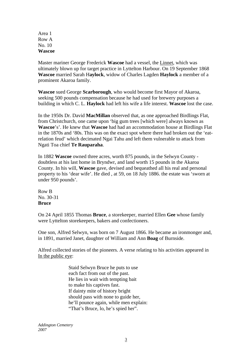Area 1 Row A No. 10 **Wascoe** 

Master mariner George Frederick **Wascoe** had a vessel, the Linnet, which was ultimately blown up for target practice in Lyttelton Harbour. On 19 September 1868 **Wascoe** married Sarah H**aylock**, widow of Charles Lagden **Haylock** a member of a prominent Akaroa family.

**Wascoe** sued George **Scarborough**, who would become first Mayor of Akaroa, seeking 500 pounds compensation because he had used for brewery purposes a building in which C. L. **Haylock** had left his wife a life interest. **Wascoe** lost the case.

In the 1950s Dr. David **MacMillan** observed that, as one approached Birdlings Flat, from Christchurch, one came upon 'big gum trees [which were] always known as **Wascoe**'s'. He knew that **Wascoe** had had an accommodation house at Birdlings Flat in the 1870s and '80s. This was on the exact spot where there had broken out the 'eatrelation feud' which decimated Ngai Tahu and left them vulnerable to attack from Ngati Toa chief **Te Rauparaha**.

In 1882 **Wascoe** owned three acres, worth 875 pounds, in the Selwyn County doubtless at his last home in Bryndwr, and land worth 15 pounds in the Akaroa County. In his will, **Wascoe** gave, devised and bequeathed all his real and personal property to his 'dear wife'. He died , at 59, on 18 July 1886. the estate was 'sworn at under 950 pounds'.

Row B No. 30-31 **Bruce** 

On 24 April 1855 Thomas **Bruce**, a storekeeper, married Ellen **Gee** whose family were Lyttelton storekeepers, bakers and confectioners.

One son, Alfred Selwyn, was born on 7 August 1866. He became an ironmonger and, in 1891, married Janet, daughter of William and Ann **Boag** of Burnside.

Alfred collected stories of the pioneers. A verse relating to his activities appeared in In the public eye:

> Staid Selwyn Bruce he puts to use each fact from out of the past. He lies in wait with tempting bait to make his captives fast. If dainty mite of history bright should pass with none to guide her, he'll pounce again, while men explain: "That's Bruce, lo, he's spied her".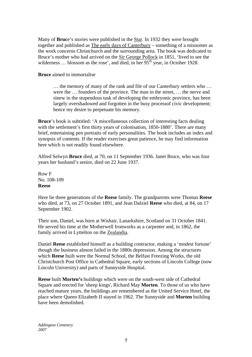Many of **Bruc**e's stories were published in the Star. In 1932 they were brought together and published as The early days of Canterbury – something of a misnomer as the work concerns Christchurch and the surrounding area. The book was dedicated to Bruce's mother who had arrived on the Sir George Pollock in 1851, 'lived to see the wilderness ... blossom as the rose', and died, in her  $95<sup>th</sup>$  year, in October 1928.

**Bruce** aimed to immortalise

… the memory of many of the rank and file of our Canterbury settlers who … were the … founders of the province. The man in the street, … the nerve and sinew in the stupendous task of developing the embryonic province, has been largely overshadowed and forgotten in the busy processof civic development; hence my desire to perpetuate his memory.

**Bruce**'s book is subtitled: 'A miscellaneous collection of interesting facts dealing with the settlement's first thirty years of colonisation, 1850-1880'. There are many brief, entertaining pen portraits of early personalities. The book includes an index and synopsis of contents. If the reader exercises great patience, he may find information here which is not readily found elsewhere.

Alfred Selwyn **Bruce** died, at 70, on 11 September 1936. Janet Bruce, who was four years her husband's senior, died on 22 June 1937.

Row F No. 108-109 **Reese** 

Here lie three generations of the **Reese** family. The grandparents were Thomas **Reese** who died, at 73, on 27 October 1891, and Jean Dalziel **Reese** who died, at 84, on 17 September 1902.

Their son, Daniel, was born at Wishair, Lanarkshire, Scotland on 31 October 1841. He served his time at the Motherwell Ironworks as a carpenter and, in 1862, the family arrived in Lyttelton on the Zealandia.

Daniel **Reese** established himself as a building contractor, making a 'modest fortune' though the business almost failed in the 1880s depression. Among the structures which **Reese** built were the Normal School, the Belfast Freezing Works, the old Christchurch Post Office in Cathedral Square, early sections of Lincoln College (now Lincoln University) and parts of Sunnyside Hospital.

**Reese** built **Morten's** buildings which were on the south-west side of Cathedral Square and erected for 'sheep kings', Richard May **Morten**. To those of us who have reached mature years, the buildings are remembered as the United Service Hotel, the place where Queen Elizabeth II stayed in 1962. The Sunnyside and **Morten** building have been demolished.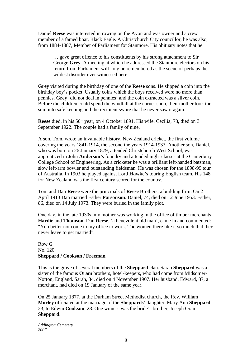Daniel **Reese** was interested in rowing on the Avon and was owner and a crew member of a famed boat, Black Eagle. A Christchurch City councillor, he was also, from 1884-1887, Member of Parliament for Stanmore. His obituary notes that he

… gave great offence to his constituents by his strong attachment to Sir George **Grey**. A meeting at which he addressed the Stanmore electors on his return from Parliament will long be remembered as the scene of perhaps the wildest disorder ever witnessed here.

**Grey** visited during the birthday of one of the **Reese** sons. He slipped a coin into the birthday boy's pocket. Usually coins which the boys received were no more than pennies. **Grey** 'did not deal in pennies' and the coin extracted was a silver coin. Before the children could spend the windfall at the corner shop, their mother took the sum into safe keeping and the recipient swore that he never saw it again.

**Reese** died, in his 50<sup>th</sup> year, on 4 October 1891. His wife, Cecilia, 73, died on 3 September 1922. The couple had a family of nine.

A son, Tom, wrote an invaluable history, New Zealand cricket, the first volume covering the years 1841-1914, the second the years 1914-1933. Another son, Daniel, who was born on 26 January 1879, attended Christchurch West School, was apprenticed in John **Anderson's** foundry and attended night classes at the Canterbury College School of Engineering. As a cricketer he was a brilliant left-handed batsman, slow left-arm bowler and outstanding fieldsman. He was chosen for the 1898-99 tour of Australia. In 1903 he played against Lord **Hawke's** touring English team. His 148 for New Zealand was the first century scored for the country.

Tom and Dan **Reese** were the principals of **Reese** Brothers, a building firm. On 2 April 1913 Dan married Esther **Parsonson**. Daniel, 74, died on 12 June 1953. Esther, 86, died on 14 July 1973. They were buried in the family plot.

One day, in the late 1930s, my mother was working in the office of timber merchants **Hardie** and **Thomson**. Dan **Reese**, 'a benevolent old man', came in and commented: "You better not come to my office to work. The women there like it so much that they never leave to get married".

## Row G No. 120 **Sheppard / Cookson / Freeman**

This is the grave of several members of the **Sheppard** clan. Sarah **Sheppard** was a sister of the famous **Oram** brothers, hotel-keepers, who had come from Midsomer-Norton, England. Sarah, 84, died on 4 November 1907. Her husband, Edward, 87, a merchant, had died on 19 January of the same year.

On 25 January 1877, at the Durham Street Methodist church, the Rev. William **Morley** officiated at the marriage of the **Sheppards**' daughter, Mary Ann **Sheppard**, 23, to Edwin **Cookson**, 28. One witness was the bride's brother, Joseph Oram **Sheppard**.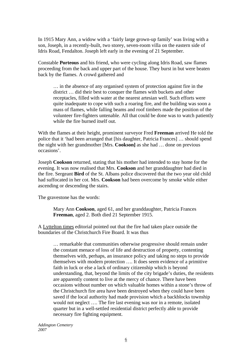In 1915 Mary Ann, a widow with a 'fairly large grown-up family' was living with a son, Joseph, in a recently-built, two storey, seven-room villa on the eastern side of Idris Road, Fendalton. Joseph left early in the evening of 21 September.

Constable **Porteous** and his friend, who were cycling along Idris Road, saw flames proceeding from the back and upper part of the house. They burst in but were beaten back by the flames. A crowd gathered and

… in the absence of any organised system of protection against fire in the district … did their best to conquer the flames with buckets and other receptacles, filled with water at the nearest artesian well. Such efforts were quite inadequate to cope with such a roaring fire, and the building was soon a mass of flames, while falling beams and roof timbers made the position of the volunteer fire-fighters untenable. All that could be done was to watch patiently while the fire burned itself out.

With the flames at their height, prominent surveyor Fred **Freeman** arrived He told the police that it 'had been arranged that [his daughter, Patricia Frances] … should spend the night with her grandmother [Mrs. **Cookson]** as she had … done on previous occasions'.

Joseph **Cookson** returned, stating that his mother had intended to stay home for the evening. It was now realised that Mrs. **Cookson** and her granddaughter had died in the fire. Sergeant **Bird** of the St. Albans police discovered that the two year old child had suffocated in her cot. Mrs. **Cookson** had been overcome by smoke while either ascending or descending the stairs.

The gravestone has the words:

Mary Ann **Cookson**, aged 61, and her granddaughter, Patricia Frances **Freeman**, aged 2. Both died 21 September 1915.

A Lyttelton times editorial pointed out that the fire had taken place outside the boundaries of the Christchurch Fire Board. It was thus

… remarkable that communities otherwise progressive should remain under the constant menace of loss of life and destruction of property, contenting themselves with, perhaps, an insurance policy and taking no steps to provide themselves with modern protection …. It does seem evidence of a primitive faith in luck or else a lack of ordinary citizenship which is beyond understanding, that, beyond the limits of the city brigade's duties, the residents are apparently content to live at the mercy of chance. There have been occasions without number on which valuable homes within a stone's throw of the Christchurch fire area have been destroyed when they could have been saved if the local authority had made provision which a backblocks township would not neglect …. The fire last evening was nor in a remote, isolated quarter but in a well-settled residential district perfectly able to provide necessary fire fighting equipment.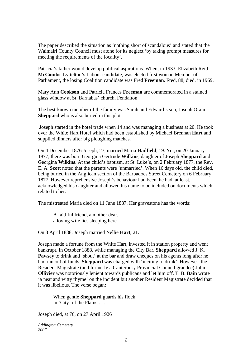The paper described the situation as 'nothing short of scandalous' and stated that the Waimairi County Council must atone for its neglect 'by taking prompt measures for meeting the requirements of the locality'.

Patricia's father would develop political aspirations. When, in 1933, Elizabeth Reid **McCombs**, Lyttelton's Labour candidate, was elected first woman Member of Parliament, the losing Coalition candidate was Fred **Freeman**. Fred, 88, died, in 1969.

Mary Ann **Cookson** and Patricia Frances **Freeman** are commemorated in a stained glass window at St. Barnabas' church, Fendalton.

The best-known member of the family was Sarah and Edward's son, Joseph Oram **Sheppard** who is also buried in this plot.

 Joseph started in the hotel trade when 14 and was managing a business at 20. He took over the White Hart Hotel which had been established by Michael Brennan **Hart** and supplied dinners after big ploughing matches.

On 4 December 1876 Joseph, 27, married Maria **Hadfield**, 19. Yet, on 20 January 1877, there was born Georgina Gertrude **Wilkins**, daughter of Joseph **Sheppard** and Georgina **Wilkins**. At the child's baptism, at St. Luke's, on 2 February 1877, the Rev. E. A. **Scott** noted that the parents were 'unmarried'. When 16 days old, the child died, being buried in the Anglican section of the Barbadoes Street Cemetery on 6 February 1877. However reprehensive Joseph's behaviour had been, he had, at least, acknowledged his daughter and allowed his name to be included on documents which related to her.

The mistreated Maria died on 11 June 1887. Her gravestone has the words:

A faithful friend, a mother dear, a loving wife lies sleeping here.

On 3 April 1888, Joseph married Nellie **Hart**, 21.

Joseph made a fortune from the White Hart, invested it in station property and went bankrupt. In October 1888, while managing the City Bar, **Sheppard** allowed J. K. **Pawsey** to drink and 'shout' at the bar and draw cheques on his agents long after he had run out of funds. **Sheppard** was charged with 'inciting to drink'. However, the Resident Magistrate (and formerly a Canterbury Provincial Council grandee) John **Ollivier** was notoriously lenient towards publicans and let him off. T. B. **Bain** wrote 'a neat and witty rhyme' on the incident but another Resident Magistrate decided that it was libellous. The verse began:

When gentle **Sheppard** guards his flock in 'City' of the Plains ….

Joseph died, at 76, on 27 April 1926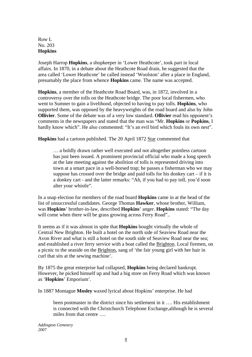## Row L No. 203 **Hopkins**

Joseph Harrop **Hopkins**, a shopkeeper in 'Lower Heathcote', took part in local affairs. In 1870, in a debate about the Heathcote Road drain, he suggested that the area called 'Lower Heathcote' be called instead 'Woolston' after a place in England, presumably the place from whence **Hopkins** came. The name was accepted.

**Hopkins**, a member of the Heathcote Road Board, was, in 1872, involved in a controversy over the tolls on the Heathcote bridge. The poor local fishermen, who went to Sumner to gain a livelihood, objected to having to pay tolls. **Hopkins**, who supported them, was opposed by the heavyweights of the road board and also by John **Ollivier**. Some of the debate was of a very low standard. **Ollivier** read his opponent's comments in the newspapers and stated that the man was "Mr. **Hopkins** or **Popkins**, I hardly know which". He also commented: "It's an evil bird which fouls its own nest".

**Hopkins** had a cartoon published. The 20 April 1872 Star commented that

… a boldly drawn rather well executed and not altogether pointless cartoon has just been issued. A prominent provincial official who made a long speech at the late meeting against the abolition of tolls is represented driving into town at a smart pace in a well-horsed trap; he passes a fisherman who we may suppose has crossed over the bridge and paid tolls for his donkey cart – if it is a donkey cart - and the latter remarks: "Ah, if you had to pay toll, you'd soon alter your whistle".

In a snap election for members of the road board **Hopkins** came in at the head of the list of unsuccessful candidates. George Thomas **Hawker**, whose brother, William, was **Hopkins**' brother-in-law, described **Hopkins**' anger. **Hopkins** stated: "The day will come when there will be grass growing across Ferry Road"...

It seems as if it was almost in spite that **Hopkins** bought virtually the whole of Central New Brighton. He built a hotel on the north side of Seaview Road near the Avon River and what is still a hotel on the south side of Seaview Road near the sea; and established a river ferry service with a boat called the Brighton. Local firemen, on a picnic to the seaside on the Brighton, sang of 'the fair young girl with her hair in curl that sits at the sewing machine'.

By 1875 the great enterprise had collapsed, **Hopkins** being declared bankrupt. However, he picked himself up and had a big store on Ferry Road which was known as '**Hopkins**' Emporium'.

In 1887 Montague **Mosley** waxed lyrical about Hopkins' enterprise. He had

been postmaster in the district since his settlement in it …. His establishment is connected with the Christchurch Telephone Exchange,although he is several miles from that centre ….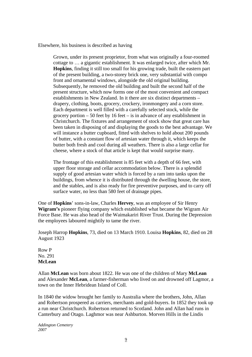Elsewhere, his business is described as having

Grown, under its present proprietor, from what was originally a four-roomed cottage to … a gigantic establishment. It was enlarged twice, after which Mr. **Hopkins**, finding it still too small for his growing trade, built the eastern part of the present building, a two-storey brick one, very substantial with compo front and ornamental windows, alongside the old original building. Subsequently, he removed the old building and built the second half of the present structure, which now forms one of the most convenient and compact establishments in New Zealand. In it there are six distinct departments – drapery, clothing, boots, grocery, crockery, ironmongery and a corn store. Each department is well filled with a carefully selected stock, while the grocery portion  $-50$  feet by 16 feet – is in advance of any establishment in Christchurch. The fixtures and arrangement of stock show that great care has been taken in disposing of and displaying the goods to the best advantage. We will instance a butter cupboard, fitted with shelves to hold about 200 pounds of butter, with a constant flow of artesian water through it, which keeps the butter both fresh and cool during all weathers. There is also a large cellar for cheese, where a stock of that article is kept that would surprise many.

The frontage of this establishment is 85 feet with a depth of 66 feet, with upper floor storage and cellar accommodation below. There is a splendid supply of good artesian water which is forced by a ram into tanks upon the buildings, from whence it is distributed through the dwelling house, the store, and the stables, and is also ready for fire preventive purposes, and to carry off surface water, no less than 580 feet of drainage pipes.

One of **Hopkins**' sons-in-law, Charles **Hervey**, was an employee of Sir Henry **Wigram's** pioneer flying company which established what became the Wigram Air Force Base. He was also head of the Waimakariri River Trust. During the Depression the employees laboured mightily to tame the river.

Joseph Harrop **Hopkins**, 73, died on 13 March 1910. Louisa **Hopkins**, 82, died on 28 August 1923

Row P No. 291 **McLean** 

Allan **McLean** was born about 1822. He was one of the children of Mary **McLean** and Alexander **McLean**, a farmer-fisherman who lived on and drowned off Lagmor, a town on the Inner Hebridean Island of Coll.

In 1840 the widow brought her family to Australia where the brothers, John, Allan and Robertson prospered as carriers, merchants and gold-buyers. In 1852 they took up a run near Christchurch. Robertson returned to Scotland. John and Allan had runs in Canterbury and Otago. Laghmor was near Ashburton. Morven Hills in the Lindis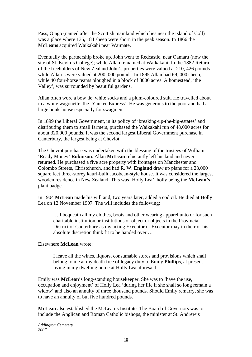Pass, Otago (named after the Scottish mainland which lies near the Island of Coll) was a place where 135, 184 sheep were shorn in the peak season. In 1866 the **McLeans** acquired Waikakahi near Waimate.

Eventually the partnership broke up. John went to Redcastle, near Oamaru (now the site of St. Kevin's College); while Allan remained at Waikakahi. In the 1882 Return of the freeholders of New Zealand John's properties were valued at 210, 426 pounds while Allan's were valued at 200, 000 pounds. In 1895 Allan had 69, 000 sheep, while 40 four-horse teams ploughed in a block of 8000 acres. A homestead, 'the Valley', was surrounded by beautiful gardens.

Allan often wore a bow tie, white socks and a plum-coloured suit. He travelled about in a white wagonette, the 'Yankee Express'. He was generous to the poor and had a large bunk-house especially for swagmen.

In 1899 the Liberal Government, in its policy of 'breaking-up-the-big-estates' and distributing them to small farmers, purchased the Waikakahi run of 48,000 acres for about 320,000 pounds. It was the second largest Liberal Government purchase in Canterbury, the largest being at Cheviot.

The Cheviot purchase was undertaken with the blessing of the trustees of William 'Ready Money' **Robinson**. Allan **McLean** reluctantly left his land and never returned. He purchased a five acre property with frontages on Manchester and Colombo Streets, Christchurch, and had R. W. **England** draw up plans for a 23,000 square feet three-storey kauri-built Jacobean-style house. It was considered the largest wooden residence in New Zealand. This was 'Holly Lea', holly being the **McLean's** plant badge.

In 1904 **McLean** made his will and, two years later, added a codicil. He died at Holly Lea on 12 November 1907. The will includes the following:

… I bequeath all my clothes, boots and other wearing apparel unto or for such charitable institution or institutions or object or objects in the Provincial District of Canterbury as my acting Executor or Executor may in their or his absolute discretion think fit to be handed over …

## Elsewhere **McLean** wrote:

I leave all the wines, liquors, consumable stores and provisions which shall belong to me at my death free of legacy duty to Emily **Phillips**, at present living in my dwelling home at Holly Lea aforesaid.

Emily was **McLean**'s long-standing housekeeper. She was to 'have the use, occupation and enjoyment' of Holly Lea 'during her life if she shall so long remain a widow' and also an annuity of three thousand pounds. Should Emily remarry, she was to have an annuity of but five hundred pounds.

**McLean** also established the McLean's Institute. The Board of Governors was to include the Anglican and Roman Catholic bishops, the minister at St. Andrew's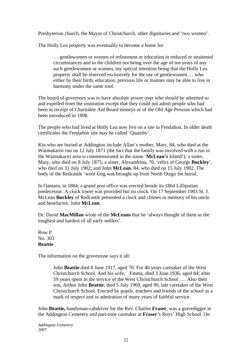Presbyterian church, the Mayor of Christchurch, other dignitaries and 'two women'.

The Holly Lea property was eventually to become a home for

… gentlewomen or women of refinement or education in reduced or straitened circumstances and to the children not being over the age of ten years of any such gentlewomen or women, my special intention being that the Holly Lea property shall be reserved exclusively for the use of gentlewomen … who either by their birth, education, previous life or manner may be able to live in harmony under the same roof.

The board of governors was to have absolute power over who should be admitted to and expelled from the institution except that they could not admit people who had been in receipt of Charitable Aid Board moneys or of the Old Age Pension which had been introduced in 1898.

The people who had lived at Holly Lea now live on a site in Fendalton. In older death certificates the Fendalton site may be called 'Quamby'.

Kin who are buried at Addington include Allan's mother, Mary, 84, who died at the Waimakariri run on 12 July 1871 (the fact that the family was involved with a run in the Waimakariri area is commemorated in the name '**McLean's** Island'); a sister, Mary, who died on 8 July 1875; a sister, Alexandrina, 70, 'relict of George **Buckley**', who died on 31 July 1902; and John **McLean**, 84, who died on 15 July 1902. The body of the Redcastle 'wool king was brought up from North Otago for burial.

In Oamaru, in 1884, a grand post office was erected beside its 1864 Lilliputian predecessor. A clock tower was provided but no clock. On 17 September 1903 St. J. McLean **Buckley** of Redcastle presented a clock and chimes in memory of his uncle and benefactor, John **McLean**.

Dr. David **MacMillan** wrote of the **McLeans** that he 'always thought of them as the toughest and hardest of all early settlers'.

Row P No. 303 **Beattie** 

The information on the gravestone says it all:

John **Beattie** died 8 June 1917, aged 70. For 40 years caretaker of the West Christchurch School. And his wife, Emma, died 3 June 1936, aged 84; after 59 years spent in the service of the West Christchurch School …. Also their son, Arthur John **Beattie**, died 5 July 1969, aged 90, late caretaker of the West Christchurch School. Erected by pupils, teachers and friends of the school as a mark of respect and in admiration of many years of faithful service.

John **Beattie,** handyman-cabdriver for the Rev. Charles **Fraser**, was a gravedigger at the Addington Cemetery and part-time caretaker at **Fraser**'s Boys' High School. On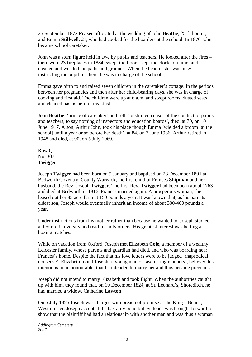25 September 1872 **Fraser** officiated at the wedding of John **Beattie**, 25, labourer, and Emma **Stillwell**, 21, who had cooked for the boarders at the school. In 1876 John became school caretaker.

John was a stern figure held in awe by pupils and teachers. He looked after the fires – there were 23 fireplaces in 1884; swept the floors; kept the clocks on time; and cleaned and weeded the paths and grounds. When the headmaster was busy instructing the pupil-teachers, he was in charge of the school.

Emma gave birth to and raised seven children in the caretaker's cottage. In the periods between her pregnancies and then after her child-bearing days, she was in charge of cooking and first aid. The children were up at 6 a.m. and swept rooms, dusted seats and cleaned basins before breakfast.

John **Beattie**, 'prince of caretakers and self-constituted censor of the conduct of pupils and teachers, to say nothing of inspectors and education boards', died, at 70, on 10 June 1917. A son, Arthur John, took his place though Emma 'wielded a broom [at the school] until a year or so before her death', at 84, on 7 June 1936. Arthur retired in 1948 and died, at 90, on 5 July 1969.

Row Q No. 307 **Twigger** 

Joseph **Twigger** had been born on 5 January and baptised on 28 December 1801 at Bedworth Coventry, County Warwick, the first child of Frances **Shipman** and her husband, the Rev. Joseph **Twigger**. The first Rev. **Twigger** had been born about 1763 and died at Bedworth in 1816. Frances married again. A prosperous woman, she leased out her 85 acre farm at 150 pounds a year. It was known that, as his parents' eldest son, Joseph would eventually inherit an income of about 300-400 pounds a year.

Under instructions from his mother rather than because he wanted to, Joseph studied at Oxford University and read for holy orders. His greatest interest was betting at boxing matches.

While on vacation from Oxford, Joseph met Elizabeth **Cole**, a member of a wealthy Leicester family, whose parents and guardian had died, and who was boarding near Frances's home. Despite the fact that his love letters were to be judged 'rhapsodical nonsense', Elizabeth found Joseph a 'young man of fascinating manners', believed his intentions to be honourable, that he intended to marry her and thus became pregnant.

Joseph did not intend to marry Elizabeth and took flight. When the authorities caught up with him, they found that, on 10 December 1824, at St. Leonard's, Shoreditch, he had married a widow, Catherine **Lawton**.

On 5 July 1825 Joseph was charged with breach of promise at the King's Bench, Westminster. Joseph accepted the bastardy bond but evidence was brought forward to show that the plaintiff had had a relationship with another man and was thus a woman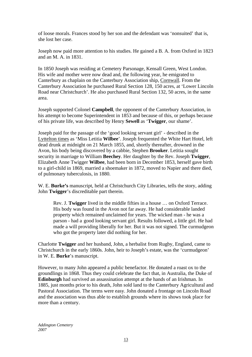of loose morals. Frances stood by her son and the defendant was 'nonsuited' that is, she lost her case.

Joseph now paid more attention to his studies. He gained a B. A. from Oxford in 1823 and an M. A. in 1831.

In 1850 Joseph was residing at Cemetery Parsonage, Kensall Green, West London. His wife and mother were now dead and, the following year, he emigrated to Canterbury as chaplain on the Canterbury Association ship, Cornwall. From the Canterbury Association he purchased Rural Section 128, 150 acres, at 'Lower Lincoln Road near Christchurch'. He also purchased Rural Section 132, 50 acres, in the same area.

Joseph supported Colonel **Campbell**, the opponent of the Canterbury Association, in his attempt to become Superintendent in 1853 and because of this, or perhaps because of his private life, was described by Henry **Sewell** as '**Twigger**, our shame'.

Joseph paid for the passage of the 'good looking servant girl' - described in the Lyttelton times as 'Miss Letitia **Wilbee**'. Joseph frequented the White Hart Hotel, left dead drunk at midnight on 21 March 1855, and, shortly thereafter, drowned in the Avon, his body being discovered by a cabbie, Stephen **Brooker**. Letitia sought security in marriage to William **Beechey**. Her daughter by the Rev. Joseph **Twigger**, Elizabeth Anne Twigger **Wilbee**, had been born in December 1853, herself gave birth to a girl-child in 1869, married a shoemaker in 1872, moved to Napier and there died, of pulmonary tuberculosis, in 1880.

W. E. **Burke's** manuscript, held at Christchurch City Libraries, tells the story, adding John **Twigger**'s discreditable part therein.

Rev. J. **Twigger** lived in the middle fifties in a house … on Oxford Terrace. His body was found in the Avon not far away. He had considerable landed property which remained unclaimed for years. The wicked man - he was a parson - had a good looking servant girl. Results followed, a little girl. He had made a will providing liberally for her. But it was not signed. The curmudgeon who got the property later did nothing for her.

Charlotte **Twigger** and her husband, John, a herbalist from Rugby, England, came to Christchurch in the early 1860s. John, heir to Joseph's estate, was the 'curmudgeon' in W. E. **Burke**'s manuscript.

However, to many John appeared a public benefactor. He donated a roast ox to the groundlings in 1868. Thus they could celebrate the fact that, in Australia, the Duke of **Edinburgh** had survived an assassination attempt at the hands of an Irishman. In 1885, just months prior to his death, John sold land to the Canterbury Agricultural and Pastoral Association. The terms were easy. John donated a frontage on Lincoln Road and the association was thus able to establish grounds where its shows took place for more than a century.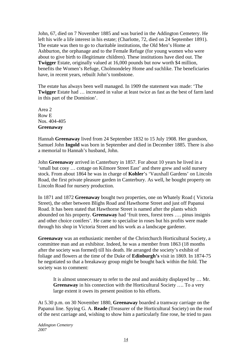John, 67, died on 7 November 1885 and was buried in the Addington Cemetery. He left his wife a life interest in his estate; (Charlotte, 72, died on 24 September 1891). The estate was then to go to charitable institutions, the Old Men's Home at Ashburton, the orphanage and to the Female Refuge (for young women who were about to give birth to illegitimate children). These institutions have died out. The **Twigger** Estate, originally valued at 16,000 pounds but now worth \$4 million, benefits the Women's Refuge, Cholmondeley Home and suchlike. The beneficiaries have, in recent years, rebuilt John's tombstone.

The estate has always been well managed. In 1909 the statement was made: 'The **Twigger** Estate had … increased in value at least twice as fast as the best of farm land in this part of the Dominion'.

Area 2 Row E Nos. 404-405 **Greenaway** 

Hannah **Greenaway** lived from 24 September 1832 to 15 July 1908. Her grandson, Samuel John **Ingold** was born in September and died in December 1885. There is also a memorial to Hannah's husband, John.

John **Greenaway** arrived in Canterbury in 1857. For about 10 years he lived in a 'small but cosy … cottage on Kilmore Street East' and there grew and sold nursery stock. From about 1864 he was in charge of **Kohler**'s 'Vauxhall Gardens' on Lincoln Road, the first private pleasure garden in Canterbury. As well, he bought property on Lincoln Road for nursery production.

In 1871 and 1872 **Greenaway** bought two properties, one on Whately Road ( Victoria Street), the other between Blighs Road and Hawthorne Street and just off Papanui Road. It has been stated that Hawthorne Street is named after the plants which abounded on his property. **Greenaway** had 'fruit trees, forest trees …. pinus insignis and other choice conifers'. He came to specialise in roses but his profits were made through his shop in Victoria Street and his work as a landscape gardener.

**Greenaway** was an enthusiastic member of the Christchurch Horticultural Society, a committee man and an exhibitor. Indeed, he was a member from 1863 (18 months after the society was formed) till his death. He arranged the society's exhibit of foliage and flowers at the time of the Duke of **Edinburgh's** visit in 1869. In 1874-75 he negotiated so that a breakaway group might be bought back within the fold. The society was to comment:

It is almost unnecessary to refer to the zeal and assiduity displayed by … Mr. **Greenaway** in his connection with the Horticultural Society …. To a very large extent it owes its present position to his efforts.

At 5.30 p.m. on 30 November 1880, **Greenaway** boarded a tramway carriage on the Papanui line. Spying G. A. **Reade** (Treasurer of the Horticultural Society) on the roof of the next carriage and, wishing to show him a particularly fine rose, he tried to pass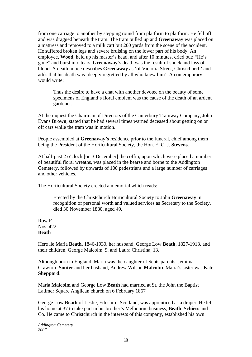from one carriage to another by stepping round from platform to platform. He fell off and was dragged beneath the tram. The tram pulled up and **Greenaway** was placed on a mattress and removed to a milk cart but 200 yards from the scene of the accident. He suffered broken legs and severe bruising on the lower part of his body. An employee, **Wood**, held up his master's head, and after 10 minutes, cried out: "He's gone" and burst into tears. **Greenaway**'s death was the result of shock and loss of blood. A death notice describes **Greenaway** as 'of Victoria Street, Christchurch' and adds that his death was 'deeply regretted by all who knew him'. A contemporary would write:

Thus the desire to have a chat with another devotee on the beauty of some specimens of England's floral emblem was the cause of the death of an ardent gardener.

At the inquest the Chairman of Directors of the Canterbury Tramway Company, John Evans **Brown**, stated that he had several times warned deceased about getting on or off cars while the tram was in motion.

People assembled at **Greenaway's** residence prior to the funeral, chief among them being the President of the Horticultural Society, the Hon. E. C. J. **Stevens**.

At half-past 2 o'clock [on 3 December] the coffin, upon which were placed a number of beautiful floral wreaths, was placed in the hearse and borne to the Addington Cemetery, followed by upwards of 100 pedestrians and a large number of carriages and other vehicles.

The Horticultural Society erected a memorial which reads:

Erected by the Christchurch Horticultural Society to John **Greenaway** in recognition of personal worth and valued services as Secretary to the Society, died 30 November 1880, aged 49.

Row F Nos. 422 **Beath** 

Here lie Maria **Beath**, 1846-1930, her husband, George Low **Beath**, 1827-1913, and their children, George Malcolm, 9, and Laura Christina, 13.

Although born in England, Maria was the daughter of Scots parents, Jemima Crawford **Souter** and her husband, Andrew Wilson **Malcolm**. Maria's sister was Kate **Sheppard**.

Maria **Malcolm** and George Low **Beath** had married at St. the John the Baptist Latimer Square Anglican church on 6 February 1867

George Low **Beath** of Leslie, Fifeshire, Scotland, was apprenticed as a draper. He left his home at 37 to take part in his brother's Melbourne business, **Beath**, **Schiess** and Co. He came to Christchurch in the interests of this company, established his own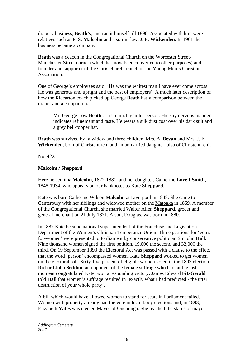drapery business, **Beath's**, and ran it himself till 1896. Associated with him were relatives such as F. S. **Malcolm** and a son-in-law, J. E. **Wickenden**. In 1901 the business became a company.

**Beath** was a deacon in the Congregational Church on the Worcester Street-Manchester Street corner (which has now been converted to other purposes) and a founder and supporter of the Christchurch branch of the Young Men's Christian Association.

One of George's employees said: 'He was the whitest man I have ever come across. He was generous and upright and the best of employers'. A much later description of how the Riccarton coach picked up George **Beath** has a comparison between the draper and a companion.

Mr. George Low **Beath** … is a much gentler person. His shy nervous manner indicates refinement and taste. He wears a silk dust coat over his dark suit and a grey bell-topper hat.

**Beath** was survived by 'a widow and three children, Mrs. A. **Bevan** and Mrs. J. E. **Wickenden**, both of Christchurch, and an unmarried daughter, also of Christchurch'.

No. 422a

## **Malcolm / Sheppard**

Here lie Jemima **Malcolm**, 1822-1881, and her daughter, Catherine **Lovell-Smith**, 1848-1934, who appears on our banknotes as Kate **Sheppard**.

Kate was born Catherine Wilson **Malcolm** at Liverpool in 1848. She came to Canterbury with her siblings and widowed mother on the Matoaka in 1869. A member of the Congregational Church, she married Walter Allen **Sheppard**, grocer and general merchant on 21 July 1871. A son, Douglas, was born in 1880.

In 1887 Kate became national superintendent of the Franchise and Legislation Department of the Women's Christian Temperance Union. Three petitions for 'votes for-women' were presented to Parliament by conservative politician Sir John **Hall**. Nine thousand women signed the first petition, 19,000 the second and 32,000 the third. On 19 September 1893 the Electoral Act was passed with a clause to the effect that the word 'person' encompassed women. Kate **Sheppard** worked to get women on the electoral roll. Sixty-five percent of eligible women voted in the 1893 election. Richard John **Seddon**, an opponent of the female suffrage who had, at the last moment congratulated Kate, won a resounding victory. James Edward **FitzGerald** told **Hall** that women's suffrage resulted in 'exactly what I had predicted - the utter destruction of your whole party'.

A bill which would have allowed women to stand for seats in Parliament failed. Women with property already had the vote in local body elections and, in 1893, Elizabeth **Yates** was elected Mayor of Onehunga. She reached the status of mayor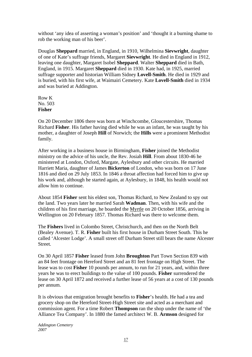without 'any idea of asserting a woman's position' and 'thought it a burning shame to rob the working man of his beer'.

Douglas **Sheppard** married, in England, in 1910, Wilhelmina **Sievwright**, daughter of one of Kate's suffrage friends, Margaret **Sievwright**. He died in England in 1912, leaving one daughter, Margaret Isobel **Sheppard**. Walter **Sheppard** died in Bath, England, in 1915. Margaret **Sheppard** died in 1930. Kate had, in 1925, married suffrage supporter and historian William Sidney **Lovell-Smith**. He died in 1929 and is buried, with his first wife, at Waimairi Cemetery. Kate **Lovell-Smith** died in 1934 and was buried at Addington.

Row K No. 503 **Fisher** 

On 20 December 1806 there was born at Winchcombe, Gloucestershire, Thomas Richard **Fisher**. His father having died while he was an infant, he was taught by his mother, a daughter of Joseph **Hill** of Norwich; the **Hills** were a prominent Methodist family.

After working in a business house in Birmingham, **Fisher** joined the Methodist ministry on the advice of his uncle, the Rev. Josiah **Hill**. From about 1830-46 he ministered at London, Oxford, Margate, Aylesbury and other circuits. He married Harriett Maria, daughter of James **Bickerton** of London, who was born on 17 June 1816 and died on 29 July 1853. In 1846 a throat affection had forced him to give up his work and, although he started again, at Aylesbury, in 1848, his health would not allow him to continue.

About 1854 **Fisher** sent his eldest son, Thomas Richard, to New Zealand to spy out the land. Two years later he married Sarah **Wadman**. Then, with his wife and the children of his first marriage, he boarded the Myrtle on 20 October 1856, arriving in Wellington on 20 February 1857. Thomas Richard was there to welcome them.

The **Fishers** lived in Colombo Street, Christchurch, and then on the North Belt (Bealey Avenue). T. R. **Fisher** built his first house in Durham Street South. This he called 'Alcester Lodge'. A small street off Durham Street still bears the name Alcester Street.

On 30 April 1857 **Fisher** leased from John **Broughton** Part Town Section 839 with an 84 feet frontage on Hereford Street and an 81 feet frontage on High Street. The lease was to cost **Fisher** 10 pounds per annum, to run for 21 years, and, within three years he was to erect buildings to the value of 100 pounds. **Fisher** surrendered the lease on 30 April 1872 and received a further lease of 56 years at a cost of 130 pounds per annum.

It is obvious that emigration brought benefits to **Fisher**'s health. He had a tea and grocery shop on the Hereford Street-High Street site and acted as a merchant and commission agent. For a time Robert **Thompson** ran the shop under the name of 'the Alliance Tea Company'. In 1880 the famed architect W. B. **Armson** designed for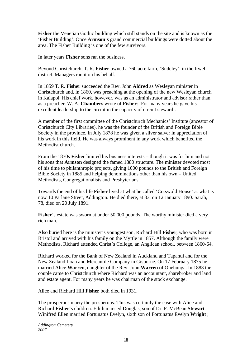**Fisher** the Venetian Gothic building which still stands on the site and is known as the 'Fisher Building'. Once **Armson**'s grand commercial buildings were dotted about the area. The Fisher Building is one of the few survivors.

In later years **Fisher** sons ran the business.

Beyond Christchurch, T. R. **Fisher** owned a 760 acre farm, 'Sudeley', in the Irwell district. Managers ran it on his behalf.

In 1859 T. R. **Fisher** succeeded the Rev. John **Aldred** as Wesleyan minister in Christchurch and, in 1860, was preaching at the opening of the new Wesleyan church in Kaiapoi. His chief work, however, was as an administrator and advisor rather than as a preacher. W. A. **Chambers** wrote of **Fisher**: 'For many years he gave his excellent leadership to the circuit in the capacity of circuit steward'.

A member of the first committee of the Christchurch Mechanics' Institute (ancestor of Christchurch City Libraries), he was the founder of the British and Foreign Bible Society in the province. In July 1878 he was given a silver salver in appreciation of his work in this field. He was always prominent in any work which benefited the Methodist church.

From the 1870s **Fisher** limited his business interests – though it was for him and not his sons that **Armson** designed the famed 1880 structure. The minister devoted most of his time to philanthropic projects, giving 1000 pounds to the British and Foreign Bible Society in 1885 and helping denominations other than his own – United Methodists, Congregationalists and Presbyterians.

Towards the end of his life **Fisher** lived at what he called 'Cotswold House' at what is now 10 Parlane Street, Addington. He died there, at 83, on 12 January 1890. Sarah, 78, died on 20 July 1891.

**Fisher**'s estate was sworn at under 50,000 pounds. The worthy minister died a very rich man.

Also buried here is the minister's youngest son, Richard Hill **Fisher**, who was born in Bristol and arrived with his family on the Myrtle in 1857. Although the family were Methodists, Richard attended Christ's College, an Anglican school, between 1860-64.

Richard worked for the Bank of New Zealand in Auckland and Tapanui and for the New Zealand Loan and Mercantile Company in Gisborne. On 17 February 1875 he married Alice **Warren**, daughter of the Rev. John **Warren** of Onehunga. In 1883 the couple came to Christchurch where Richard was an accountant, sharebroker and land and estate agent. For many years he was chairman of the stock exchange.

Alice and Richard Hill **Fisher** both died in 1931.

The prosperous marry the prosperous. This was certainly the case with Alice and Richard **Fisher**'s children. Edith married Douglas, son of Dr. F. McBean **Stewart**. Winifred Ellen married Fortunatus Evelyn, sixth son of Fortunatus Evelyn **Wright** ;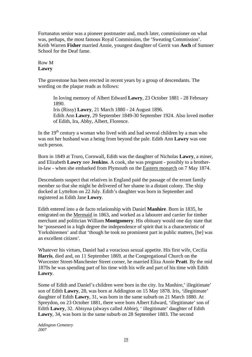Fortunatus senior was a pioneer postmaster and, much later, commissioner on what was, perhaps, the most famous Royal Commission, the 'Sweating Commission'. Keith Warren **Fisher** married Annie, youngest daughter of Gerrit van **Asch** of Sumner School for the Deaf fame.

# Row M **Lawry**

The gravestone has been erected in recent years by a group of descendants. The wording on the plaque reads as follows:

In loving memory of Albert Edward **Lawry**, 23 October 1881 - 28 February 1890. Iris (Rissy) **Lawry**, 21 March 1880 - 24 August 1896. Edith Ann **Lawry**, 29 September 1849-30 September 1924. Also loved mother of Edith, Ira, Abby, Albert, Florence.

In the  $19<sup>th</sup>$  century a woman who lived with and had several children by a man who was not her husband was a being from beyond the pale. Edith Ann **Lawry** was one such person.

Born in 1849 at Truro, Cornwall, Edith was the daughter of Nicholas **Lawry**, a miner, and Elizabeth **Lawry** nee **Jenkins**. A cook, she was pregnant - possibly to a brotherin-law - when she embarked from Plymouth on the Eastern monarch on 7 May 1874.

Descendants suspect that relatives in England paid the passage of the errant family member so that she might be delivered of her shame in a distant colony. The ship docked at Lyttelton on 22 July. Edith's daughter was born in September and registered as Edith Jane **Lowry**.

Edith entered into a de facto relationship with Daniel **Manhire**. Born in 1835, he emigrated on the Mermaid in 1863, and worked as a labourer and carrier for timber merchant and politician William **Montgomery**. His obituary would one day state that he 'possessed in a high degree the independence of spirit that is a characteristic of Yorkshiremen' and that 'though he took no prominent part in public matters, [he] was an excellent citizen'.

Whatever his virtues, Daniel had a voracious sexual appetite. His first wife, Cecilia **Harris**, died and, on 11 September 1869, at the Congregational Church on the Worcester Street-Manchester Street corner, he married Eliza Annie **Pratt**. By the mid 1870s he was spending part of his time with his wife and part of his time with Edith **Lawry**.

Some of Edith and Daniel's children were born in the city. Ira Manhire,' illegitimate' son of Edith **Lawry**, 28, was born at Addington on 15 May 1878. Iris, 'illegitimate' daughter of Edith **Lawry**, 31, was born in the same suburb on 21 March 1880. At Spreydon, on 23 October 1881, there were born Albert Edward, 'illegitimate' son of Edith **Lawry**, 32. Abisyna (always called Abbie), ' illegitimate' daughter of Edith **Lawry**, 34, was born in the same suburb on 28 September 1883. The second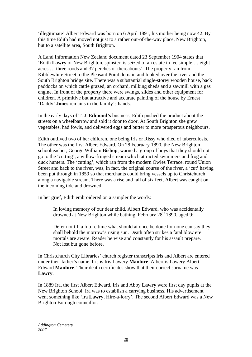'illegitimate' Albert Edward was born on 6 April 1891, his mother being now 42. By this time Edith had moved not just to a rather out-of-the-way place, New Brighton, but to a satellite area, South Brighton.

A Land Information New Zealand document dated 23 September 1904 states that 'Edith **Lawry** of New Brighton, spinster, is seized of an estate in fee simple … eight acres … three roods and 37 perches or thereabouts'. The property ran from Kibblewhite Street to the Pleasant Point domain and looked over the river and the South Brighton bridge site. There was a substantial single-storey wooden house, back paddocks on which cattle grazed, an orchard, milking sheds and a sawmill with a gas engine. In front of the property there were swings, slides and other equipment for children. A primitive but attractive and accurate painting of the house by Ernest 'Daddy' **Jones** remains in the family's hands.

In the early days of T. J. **Edmond's** business, Edith pushed the product about the streets on a wheelbarrow and sold it door to door. At South Brighton she grew vegetables, had fowls, and delivered eggs and butter to more prosperous neighbours.

Edith outlived two of her children, one being Iris or Rissy who died of tuberculosis. The other was the first Albert Edward. On 28 February 1890, the New Brighton schoolteacher, George William **Bishop**, warned a group of boys that they should not go to the 'cutting', a willow-fringed stream which attracted swimmers and frog and duck hunters. The 'cutting', which ran from the modern Owles Terrace, round Union Street and back to the river, was, in fact, the original course of the river, a 'cut' having been put through in 1859 so that merchants could bring vessels up to Christchurch along a navigable stream. There was a rise and fall of six feet, Albert was caught on the incoming tide and drowned.

In her grief, Edith embroidered on a sampler the words:

In loving memory of our dear child, Albert Edward, who was accidentally drowned at New Brighton while bathing, February  $28<sup>th</sup> 1890$ , aged 9:

Defer not till a future time what should at once be done for none can say they shall behold the morrow's rising sun. Death often strikes a fatal blow ere mortals are aware. Reader be wise and constantly for his assault prepare. Not lost but gone before.

In Christchurch City Libraries' church register transcripts Iris and Albert are entered under their father's name. Iris is Iris Lawery **Manhire**. Albert is Lawery Albert Edward **Manhire**. Their death certificates show that their correct surname was **Lawry**.

In 1889 Ira, the first Albert Edward, Iris and Abby **Lawry** were first day pupils at the New Brighton School. Ira was to establish a carrying business. His advertisement went something like 'Ira **Lawry**, Hire-a-lorry'. The second Albert Edward was a New Brighton Borough councillor.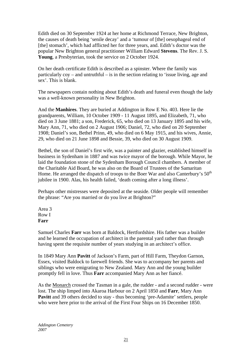Edith died on 30 September 1924 at her home at Richmond Terrace, New Brighton, the causes of death being 'senile decay' and a 'tumour of [the] oesophageal end of [the] stomach', which had afflicted her for three years, and. Edith's doctor was the popular New Brighton general practitioner William Edward **Stevens**. The Rev. J. S. **Young**, a Presbyterian, took the service on 2 October 1924.

On her death certificate Edith is described as a spinster. Where the family was particularly coy – and untruthful – is in the section relating to 'issue living, age and sex'. This is blank.

The newspapers contain nothing about Edith's death and funeral even though the lady was a well-known personality in New Brighton.

And the **Manhires**. They are buried at Addington in Row E No. 403. Here lie the grandparents, William, 10 October 1909 - 11 August 1895, and Elizabeth, 71, who died on 3 June 1881; a son, Frederick, 65, who died on 13 January 1895 and his wife, Mary Ann, 71, who died on 2 August 1906; Daniel, 72, who died on 20 September 1908; Daniel's son, Bethel Prinn, 49, who died on 6 May 1915, and his wives, Annie, 29, who died on 21 June 1898 and Bessie, 39, who died on 30 August 1909.

Bethel, the son of Daniel's first wife, was a painter and glazier, established himself in business in Sydenham in 1887 and was twice mayor of the borough. While Mayor, he laid the foundation stone of the Sydenham Borough Council chambers. A member of the Charitable Aid Board, he was also on the Board of Trustees of the Samaritan Home. He arranged the dispatch of troops to the Boer War and also Canterbury's  $50<sup>th</sup>$ jubilee in 1900. Alas, his health failed, 'death coming after a long illness'.

Perhaps other mistresses were deposited at the seaside. Older people will remember the phrase: "Are you married or do you live at Brighton?"

Area 3 Row I **Farr**

Samuel Charles **Farr** was born at Baldock, Hertfordshire. His father was a builder and he learned the occupation of architect in the parental yard rather than through having spent the requisite number of years studying in an architect's office.

In 1849 Mary Ann **Pavitt** of Jackson's Farm, part of Hill Farm, Theydon Garnon, Essex, visited Baldock to farewell friends. She was to accompany her parents and siblings who were emigrating to New Zealand. Mary Ann and the young builder promptly fell in love. Thus **Farr** accompanied Mary Ann as her fiancé.

As the Monarch crossed the Tasman in a gale, the rudder - and a second rudder - were lost. The ship limped into Akaroa Harbour on 2 April 1850 and **Farr**, Mary Ann **Pavitt** and 39 others decided to stay - thus becoming 'pre-Adamite' settlers, people who were here prior to the arrival of the First Four Ships on 16 December 1850.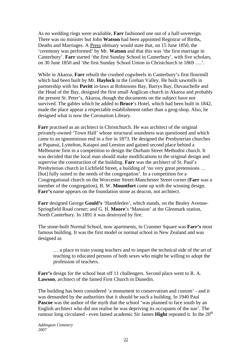As no wedding rings were available, **Farr** fashioned one out of a half-sovereign. There was no minister but John **Watson** had been appointed Registrar of Births, Deaths and Marriages. A Press obituary would state that, on 15 June 1850, the 'ceremony was performed' by Mr. **Watson** and that this was 'the first marriage in Canterbury'. **Farr** started 'the first Sunday School in Canterbury', with five scholars, on 30 June 1850 and 'the first Sunday School Union in Christchurch in 1869 ….'.

While in Akaroa, **Farr** rebuilt the crushed cogwheels in Canterbury's first flourmill which had been built by Mr. **Haylock** in the Grehan Valley. He built sawmills in partnership with his **Pavitt** in-laws at Robinsons Bay, Barrys Bay, Duvauchelle and the Head of the Bay, designed the first small Anglican church in Akaroa and probably the present St. Peter's, Akaroa, though the documents on the subject have not survived. The gables which he added to **Bruce**'s Hotel, which had been built in 1842, made the place appear a respectable establishment rather than a grog-shop. Also, he designed what is now the Coronation Library.

**Farr** practised as an architect in Christchurch. He was architect of the original privately-owned 'Town Hall' whose structural soundness was questioned and which came to an ignominious end in a fire in 1873. He designed the Presbyterian churches at Papanui, Lyttelton, Kaiapoi and Leeston and gained second place behind a Melbourne firm in a competition to design the Durham Street Methodist church. It was decided that the local man should make modifications to the original design and supervise the construction of the building. **Farr** was the architect of St. Paul's Presbyterian church in Lichfield Street, a building of 'no very great pretensions … [but] fully suited to the needs of the congregation'. In a competition for a Congregational church on the Worcester Street-Manchester Street corner (**Farr** was a member of the congregation), B. W. **Mountfort** came up with the winning design. **Farr's** name appears on the foundation stone as deacon, not architect.

**Farr** designed George **Gould's** 'Hambleden', which stands, on the Bealey Avenue-Springfield Road corner; and G. H. **Moore**'s 'Mansion' at the Glenmark station, North Canterbury. In 1891 it was destroyed by fire.

The stone-built Normal School, now apartments, in Cranmer Square was **Farr's** most famous building. It was the first model or normal school in New Zealand and was designed as

… a place to train young teachers and to impart the technical side of the art of teaching to educated persons of both sexes who might be willing to adopt the profession of teachers.

**Farr's** design for the school beat off 11 challengers. Second place went to R. A. **Lawson**, architect of the famed First Church in Dunedin.

The building has been considered 'a monument to conservatism and custom' - and it was demanded by the authorities that it should be such a building. In 1940 Paul **Pascoe** was the author of the myth that the school 'was planned to face south by an English architect who did not realise he was depriving its occupants of the sun'. The rumour long circulated - even famed academic Sir James **Hight** repeated it. In the 20<sup>th</sup>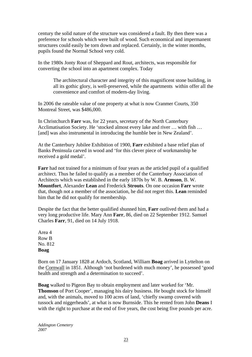century the solid nature of the structure was considered a fault. By then there was a preference for schools which were built of wood. Such economical and impermanent structures could easily be torn down and replaced. Certainly, in the winter months, pupils found the Normal School very cold.

In the 1980s Jonty Rout of Sheppard and Rout, architects, was responsible for converting the school into an apartment complex. Today

The architectural character and integrity of this magnificent stone building, in all its gothic glory, is well-preserved, while the apartments within offer all the convenience and comfort of modern-day living.

In 2006 the rateable value of one property at what is now Cranmer Courts, 350 Montreal Street, was \$486,000.

In Christchurch **Farr** was, for 22 years, secretary of the North Canterbury Acclimatisation Society. He 'stocked almost every lake and river … with fish … [and] was also instrumental in introducing the humble bee in New Zealand'.

At the Canterbury Jubilee Exhibition of 1900, **Farr** exhibited a base relief plan of Banks Peninsula carved in wood and 'for this clever piece of workmanship he received a gold medal'.

**Farr** had not trained for a minimum of four years as the articled pupil of a qualified architect. Thus he failed to qualify as a member of the Canterbury Association of Architects which was established in the early 1870s by W. B. **Armson**, B. W. **Mountfort**, Alexander **Lean** and Frederick **Strouts**. On one occasion **Farr** wrote that, though not a member of the association, he did not regret this. **Lean** reminded him that he did not qualify for membership.

Despite the fact that the better qualified shunned him, **Farr** outlived them and had a very long productive life. Mary Ann **Farr**, 86, died on 22 September 1912. Samuel Charles **Farr**, 91, died on 14 July 1918.

Area 4 Row B No. 812 **Boag** 

Born on 17 January 1828 at Ardoch, Scotland, William **Boag** arrived in Lyttelton on the Cornwall in 1851. Although 'not burdened with much money', he possessed 'good health and strength and a determination to succeed'.

**Boag** walked to Pigeon Bay to obtain employment and later worked for 'Mr. **Thomson** of Port Cooper', managing his dairy business. He bought stock for himself and, with the animals, moved to 100 acres of land, 'chiefly swamp covered with tussock and niggerheads', at what is now Burnside. This he rented from John **Deans** I with the right to purchase at the end of five years, the cost being five pounds per acre.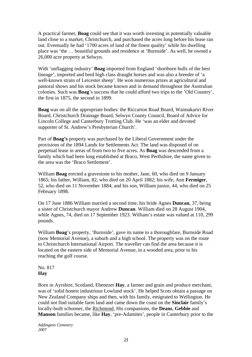A practical farmer, **Boag** could see that it was worth investing in potentially valuable land close to a market, Christchurch, and purchased the acres long before his lease ran out. Eventually he had '1700 acres of land of the finest quality' while his dwelling place was 'the … beautiful grounds and residence at 'Burnside'. As well, he owned a 26,000 acre property at Selwyn.

With 'unflagging industry' **Boag** imported from England 'shorthorn bulls of the best lineage', imported and bred high class draught horses and was also a breeder of 'a well-known strain of Leicester sheep'. He won numerous prizes at agricultural and pastoral shows and his stock became known and in demand throughout the Australian colonies. Such was **Boag**'s success that he could afford two trips to the 'Old Country', the first in 1875, the second in 1899.

**Boag** was on all the appropriate bodies: the Riccarton Road Board, Waimakariri River Board, Christchurch Drainage Board, Selwyn County Council, Board of Advice for Lincoln College and Canterbury Trotting Club. He 'was an elder and devoted supporter of St. Andrew's Presbyterian Church'.

Part of **Boag's** property was purchased by the Liberal Government under the provisions of the 1894 Lands for Settlements Act. The land was disposed of on perpetual lease in areas of from two to five acres. As **Boag** was descended from a family which had been long established at Braco, West Perthshire, the name given to the area was the 'Braco Settlement'.

William **Boag** erected a gravestone to his mother, Jane, 60, who died on 9 January 1865; his father, William, 82, who died on 20 April 1882; his wife, Ann **Fermiger**, 52, who died on 11 November 1884; and his son, William junior, 44, who died on 25 February 1898.

On 17 June 1886 William married a second time, his bride Agnes **Duncan**, 37, being a sister of Christchurch mayor Andrew **Duncan**. William died on 28 August 1904, while Agnes, 74, died on 17 September 1923. William's estate was valued at 110, 299 pounds.

William **Boag**'s property, 'Burnside', gave its name to a thoroughfare, Burnside Road (now Memorial Avenue), a suburb and a high school. The property was on the route to Christchurch International Airport. The traveller can find the area because it is located on the eastern side of Memorial Avenue, in a wooded area, prior to his reaching the golf course.

## No. 817 **Hay**

Born in Ayrshire, Scotland, Ebenezer **Hay**, a farmer and grain and produce merchant, was of 'solid honest industrious Lowland stock'. He helped Scots obtain a passage on New Zealand Company ships and then, with his family, emigrated to Wellington. He could not find suitable farm land and came down the coast on the **Sinclair** family's locally-built schooner, the Richmond, His companions, the **Deans**, **Gebbie** and **Manson** families became, like **Hay**, 'pre-Adamites', people in Canterbury prior to the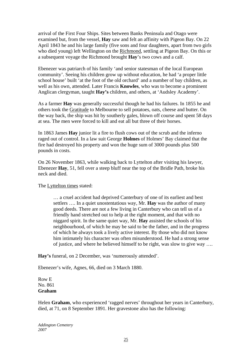arrival of the First Four Ships. Sites between Banks Peninsula and Otago were examined but, from the vessel, **Hay** saw and felt an affinity with Pigeon Bay. On 22 April 1843 he and his large family (five sons and four daughters, apart from two girls who died young) left Wellington on the Richmond, settling at Pigeon Bay. On this or a subsequent voyage the Richmond brought **Hay**'s two cows and a calf.

Ebenezer was patriarch of his family 'and senior statesman of the local European community'. Seeing his children grow up without education, he had 'a proper little school house' built 'at the foot of the old orchard' and a number of bay children, as well as his own, attended. Later Francis **Knowles**, who was to become a prominent Anglican clergyman, taught **Hay's** children, and others, at 'Audsley Academy'.

As a farmer **Hay** was generally successful though he had his failures. In 1855 he and others took the Gratitude to Melbourne to sell potatoes, oats, cheese and butter. On the way back, the ship was hit by southerly gales, blown off course and spent 58 days at sea. The men were forced to kill and eat all but three of their horses.

In 1863 James **Hay** junior lit a fire to flush cows out of the scrub and the inferno raged out of control. In a law suit George **Holmes** of Holmes' Bay claimed that the fire had destroyed his property and won the huge sum of 3000 pounds plus 500 pounds in costs.

On 26 November 1863, while walking back to Lyttelton after visiting his lawyer, Ebenezer **Hay**, 51, fell over a steep bluff near the top of the Bridle Path, broke his neck and died.

The Lyttelton times stated:

… a cruel accident had deprived Canterbury of one of its earliest and best settlers …. In a quiet unostentatious way, Mr. **Hay** was the author of many good deeds. There are not a few living in Canterbury who can tell us of a friendly hand stretched out to help at the right moment, and that with no niggard spirit. In the same quiet way, Mr. **Hay** assisted the schools of his neighbourhood, of which he may be said to be the father, and in the progress of which he always took a lively active interest. By those who did not know him intimately his character was often misunderstood. He had a strong sense of justice, and where he believed himself to be right, was slow to give way ….

**Hay's** funeral, on 2 December, was 'numerously attended'.

Ebenezer's wife, Agnes, 66, died on 3 March 1880.

Row E No. 861 **Graham** 

Helen **Graham**, who experienced 'ragged nerves' throughout her years in Canterbury, died, at 71, on 8 September 1891. Her gravestone also has the following: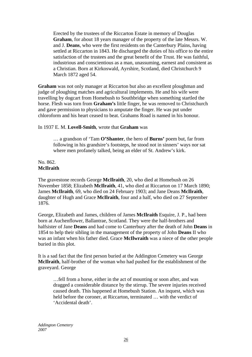Erected by the trustees of the Riccarton Estate in memory of Douglas **Graham**, for about 18 years manager of the property of the late Messrs. W. and J. **Deans**, who were the first residents on the Canterbury Plains, having settled at Riccarton in 1843. He discharged the duties of his office to the entire satisfaction of the trustees and the great benefit of the Trust. He was faithful, industrious and conscientious as a man, unassuming, earnest and consistent as a Christian. Born at Kirkoswald, Ayrshire, Scotland, died Christchurch 9 March 1872 aged 54.

**Graham** was not only manager at Riccarton but also an excellent ploughman and judge of ploughing matches and agricultural implements. He and his wife were travelling by dogcart from Homebush to Southbridge when something startled the horse. Flesh was torn from **Graham's** little finger, he was removed to Christchurch and gave permission to physicians to amputate the finger. He was put under chloroform and his heart ceased to beat. Grahams Road is named in his honour.

#### In 1937 E. M. **Lovell-Smith**, wrote that **Graham** was

… a grandson of 'Tam **O'Shanter**, the hero of **Burns'** poem but, far from following in his grandsire's footsteps, he stood not in sinners' ways nor sat where men profanely talked, being an elder of St. Andrew's kirk.

#### No. 862. **McIlraith**

The gravestone records George **McIlraith**, 20, who died at Homebush on 26 November 1858; Elizabeth **McIlraith**, 41, who died at Riccarton on 17 March 1890; James **McIlraith**, 69, who died on 24 February 1903; and Jane Deans **McIlraith**, daughter of Hugh and Grace **McIlraith**, four and a half, who died on 27 September 1876.

George, Elizabeth and James, children of James **McIlraith** Esquire, J. P., had been born at Auchenflower, Ballantrae, Scotland. They were the half-brothers and halfsister of Jane **Deans** and had come to Canterbury after the death of John **Deans** in 1854 to help their sibling in the management of the property of John **Deans** II who was an infant when his father died. Grace **McIlwraith** was a niece of the other people buried in this plot.

It is a sad fact that the first person buried at the Addington Cemetery was George **McIlraith**, half-brother of the woman who had pushed for the establishment of the graveyard. George

…fell from a horse, either in the act of mounting or soon after, and was dragged a considerable distance by the stirrup. The severe injuries received caused death. This happened at Homebush Station. An inquest, which was held before the coroner, at Riccarton, terminated … with the verdict of 'Accidental death'.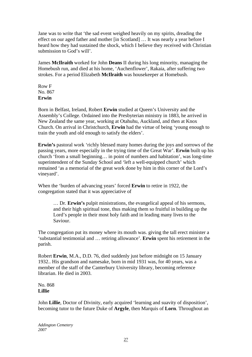Jane was to write that 'the sad event weighed heavily on my spirits, dreading the effect on our aged father and mother [in Scotland] … It was nearly a year before I heard how they had sustained the shock, which I believe they received with Christian submission to God's will'.

James **McIlraith** worked for John **Deans** II during his long minority, managing the Homebush run, and died at his home, 'Auchenflower', Rakaia, after suffering two strokes. For a period Elizabeth **McIlraith** was housekeeper at Homebush.

Row F No. 867 **Erwin** 

Born in Belfast, Ireland, Robert **Erwin** studied at Queen's University and the Assembly's College. Ordained into the Presbyterian ministry in 1883, he arrived in New Zealand the same year, working at Otahuhu, Auckland, and then at Knox Church. On arrival in Christchurch, **Erwin** had the virtue of being 'young enough to train the youth and old enough to satisfy the elders'.

**Erwin's** pastoral work 'richly blessed many homes during the joys and sorrows of the passing years, more especially in the trying time of the Great War'. **Erwin** built up his church 'from a small beginning… in point of numbers and habitation', was long-time superintendent of the Sunday School and 'left a well-equipped church' which remained 'as a memorial of the great work done by him in this corner of the Lord's vineyard'.

When the 'burden of advancing years' forced **Erwin** to retire in 1922, the congregation stated that it was appreciative of

> … Dr. **Erwin's** pulpit ministrations, the evangelical appeal of his sermons, and their high spiritual tone, thus making them so fruitful in building up the Lord's people in their most holy faith and in leading many lives to the Saviour.

The congregation put its money where its mouth was. giving the tall erect minister a 'substantial testimonial and … retiring allowance'. **Erwin** spent his retirement in the parish.

Robert **Erwin**, M.A., D.D. 76, died suddenly just before midnight on 15 January 1932.. His grandson and namesake, born in mid 1931 was, for 40 years, was a member of the staff of the Canterbury University library, becoming reference librarian. He died in 2003.

No. 868 **Lillie** 

John **Lillie**, Doctor of Divinity, early acquired 'learning and suavity of disposition', becoming tutor to the future Duke of **Argyle**, then Marquis of **Lorn**. Throughout an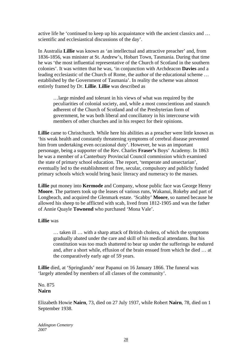active life he 'continued to keep up his acquaintance with the ancient classics and … scientific and ecclesiastical discussions of the day'.

In Australia **Lillie** was known as 'an intellectual and attractive preacher' and, from 1836-1856, was minister at St. Andrew's, Hobart Town, Tasmania. During that time he was 'the most influential representative of the Church of Scotland in the southern colonies'. It was written that he was, 'in conjunction with Archdeacon **Davies** and a leading ecclesiastic of the Church of Rome, the author of the educational scheme … established by the Government of Tasmania'. In reality the scheme was almost entirely framed by Dr. **Lillie**. **Lillie** was described as

…large minded and tolerant in his views of what was required by the peculiarities of colonial society, and, while a most conscientious and staunch adherent of the Church of Scotland and of the Presbyterian form of government, he was both liberal and conciliatory in his intercourse with members of other churches and in his respect for their opinions.

**Lillie** came to Christchurch. While here his abilities as a preacher were little known as 'his weak health and constantly threatening symptoms of cerebral disease prevented him from undertaking even occasional duty'. However, he was an important personage, being a supporter of the Rev. Charles **Fraser's** Boys' Academy. In 1863 he was a member of a Canterbury Provincial Council commission which examined the state of primary school education. The report, 'temperate and unsectarian', eventually led to the establishment of free, secular, compulsory and publicly funded primary schools which would bring basic literacy and numeracy to the masses.

**Lillie** put money into **Kermode** and Company, whose public face was George Henry **Moore**. The partners took up the leases of various runs, Wakanui, Rokeby and part of Longbeach, and acquired the Glenmark estate. 'Scabby' **Moore**, so named because he allowed his sheep to be afflicted with scab, lived from 1812-1905 and was the father of Annie Quayle **Townend** who purchased 'Mona Vale'.

## **Lillie** was

… taken ill … with a sharp attack of British cholera, of which the symptoms gradually abated under the care and skill of his medical attendants. But his constitution was too much shattered to bear up under the sufferings he endured and, after a short while, effusion of the brain ensued from which he died … at the comparatively early age of 59 years.

**Lillie** died, at 'Springlands' near Papanui on 16 January 1866. The funeral was 'largely attended by members of all classes of the community'.

# No. 875 **Nairn**

Elizabeth Howie **Nairn**, 73, died on 27 July 1937, while Robert **Nairn**, 78, died on 1 September 1938.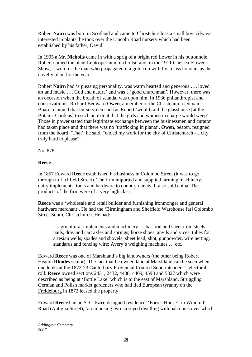Robert **Nairn** was born in Scotland and came to Christchurch as a small boy. Always interested in plants, he took over the Lincoln Road nursery which had been established by his father, David.

In 1905 a Mr. **Nicholls** came in with a sprig of a bright red flower in his buttonhole. Robert named the plant Leptospermum nichollsii and, in the 1911 Chelsea Flower Show, it won for the man who propagated it a gold cup with first class honours as the novelty plant for the year.

Robert **Nairn** had 'a pleasing personality, was warm hearted and generous …. loved art and music …. God and nature' and was a 'good churchman'. However, there was an occasion when the breath of scandal was upon him. In 1936 philanthropist and conservationist Richard Bedward **Owen**, a member of the Christchurch Domains Board, claimed that nurserymen such as Robert 'would raid the glasshouse [at the Botanic Gardens] to such an extent that the girls and women in charge would weep'. Those in power stated that legitimate exchange between the businessmen and curator had taken place and that there was no 'trafficking in plants'. **Owen**, beaten, resigned from the board. 'That', he said, "ended my work for the city of Christchurch - a city truly hard to please".

No. 878

# **Reece**

In 1857 Edward **Reece** established his business in Colombo Street (it was to go through to Lichfield Street). The firm imported and supplied farming machinery, dairy implements, tools and hardware to country clients. It also sold china. The products of the firm were of a very high class.

**Reece** was a 'wholesale and retail builder and furnishing ironmonger and general hardware merchant'. He had the 'Birmingham and Sheffield Warehouse [at] Colombo Street South, Christchurch. He had:

…agricultural implements and machinery … bar, rod and sheet iron; steels, nails, dray and cart axles and springs; horse shoes, anvils and vices; tubes for artesian wells; spades and shovels; sheet lead; shot, gunpowder, wire netting, standards and fencing wire; Avery's weighing machines … etc.

Edward **Reece** was one of Marshland's big landowners (the other being Robert Heaton **Rhodes** senior). The fact that he owned land at Marshland can be seen when one looks at the 1872-73 Canterbury Provincial Council Superintendent's electoral roll. **Reece** owned sections 2431, 2432, 4408, 4409, 4593 and 5827 which were described as being at 'Bottle Lake' which is to the east of Marshland. Struggling German and Polish market gardeners who had fled European tyranny on the Freidelburg in 1872 leased the property.

Edward **Reece** had an S. C. **Farr**-designed residence, 'Forres House', in Windmill Road (Antigua Street), 'an imposing two-storeyed dwelling with balconies over which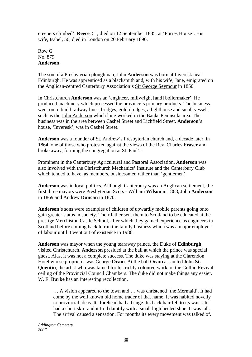creepers climbed'. **Reece**, 51, died on 12 September 1885, at 'Forres House'. His wife, Isabel, 56, died in London on 20 February 1890.

Row G No. 879 **Anderson** 

The son of a Presbyterian ploughman, John **Anderson** was born at Inveresk near Edinburgh. He was apprenticed as a blacksmith and, with his wife, Jane, emigrated on the Anglican-centred Canterbury Association's Sir George Seymour in 1850.

In Christchurch **Anderson** was an 'engineer, millwright [and] boilermaker'. He produced machinery which processed the province's primary products. The business went on to build railway lines, bridges, gold dredges, a lighthouse and small vessels such as the John Anderson which long worked in the Banks Peninsula area. The business was in the area between Cashel Street and Lichfield Street. **Anderson**'s house, 'Inveresk', was in Cashel Street.

**Anderson** was a founder of St. Andrew's Presbyterian church and, a decade later, in 1864, one of those who protested against the views of the Rev. Charles **Fraser** and broke away, forming the congregation at St. Paul's.

Prominent in the Canterbury Agricultural and Pastoral Association, **Anderson** was also involved with the Christchurch Mechanics' Institute and the Canterbury Club which tended to have, as members, businessmen rather than 'gentlemen'.

**Anderson** was in local politics. Although Canterbury was an Anglican settlement, the first three mayors were Presbyterian Scots - William **Wilson** in 1868, John **Anderson** in 1869 and Andrew **Duncan** in 1870.

**Anderson**'s sons were examples of children of upwardly mobile parents going onto gain greater status in society. Their father sent them to Scotland to be educated at the prestige Merchiston Castle School, after which they gained experience as engineers in Scotland before coming back to run the family business which was a major employer of labour until it went out of existence in 1986.

**Anderson** was mayor when the young tearaway prince, the Duke of **Edinburgh**, visited Christchurch. **Anderson** presided at the ball at which the prince was special guest. Alas, it was not a complete success. The duke was staying at the Clarendon Hotel whose proprietor was George **Oram**. At the ball **Oram** assaulted John **St. Quentin**, the artist who was famed for his richly coloured work on the Gothic Revival ceiling of the Provincial Council Chambers. The duke did not make things any easier. W. E. **Burke** has an interesting recollection.

… A vision appeared to the town and … was christened 'the Mermaid'. It had come by the well known old home trader of that name. It was habited novelly to provincial ideas. Its forehead had a fringe. Its back hair fell to its waist. It had a short skirt and it trod daintily with a small high heeled shoe. It was tall. The arrival caused a sensation. For months its every movement was talked of.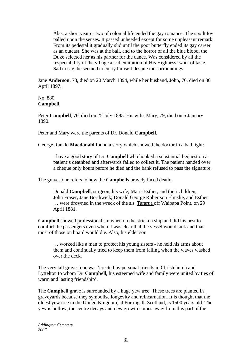Alas, a short year or two of colonial life ended the gay romance. The spoilt toy palled upon the senses. It passed unheeded except for some unpleasant remark. From its pedestal it gradually slid until the poor butterfly ended its gay career as an outcast. She was at the ball, and to the horror of all the blue blood, the Duke selected her as his partner for the dance. Was considered by all the respectability of the village a sad exhibition of His Highness' want of taste. Sad to say, he seemed to enjoy himself despite the surroundings.

Jane **Anderson**, 73, died on 20 March 1894, while her husband, John, 76, died on 30 April 1897.

No. 880 **Campbell**

Peter **Campbell**, 76, died on 25 July 1885. His wife, Mary, 79, died on 5 January 1890.

Peter and Mary were the parents of Dr. Donald **Campbell**.

George Ranald **Macdonald** found a story which showed the doctor in a bad light:

I have a good story of Dr. **Campbell** who hooked a substantial bequest on a patient's deathbed and afterwards failed to collect it. The patient handed over a cheque only hours before he died and the bank refused to pass the signature.

The gravestone refers to how the **Campbells** bravely faced death:

Donald **Campbell**, surgeon, his wife, Maria Esther, and their children, John Fraser, Jane Borthwick, Donald George Robertson Elmslie, and Esther … were drowned in the wreck of the s.s. Tararua off Waipapa Point, on 29 April 1881.

**Campbell** showed professionalism when on the stricken ship and did his best to comfort the passengers even when it was clear that the vessel would sink and that most of those on board would die. Also, his elder son

… worked like a man to protect his young sisters - he held his arms about them and continually tried to keep them from falling when the waves washed over the deck.

The very tall gravestone was 'erected by personal friends in Christchurch and Lyttelton to whom Dr. **Campbell**, his esteemed wife and family were united by ties of warm and lasting friendship'.

The **Campbell** grave is surrounded by a huge yew tree. These trees are planted in graveyards because they symbolise longevity and reincarnation. It is thought that the oldest yew tree in the United Kingdom, at Fortingall, Scotland, is 1500 years old. The yew is hollow, the centre decays and new growth comes away from this part of the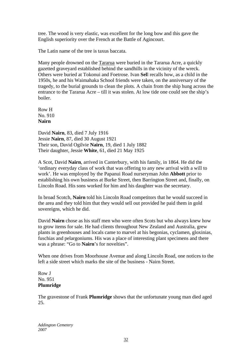tree. The wood is very elastic, was excellent for the long bow and this gave the English superiority over the French at the Battle of Agincourt.

The Latin name of the tree is taxus baccata.

Many people drowned on the Tararua were buried in the Tararua Acre, a quickly gazetted graveyard established behind the sandhills in the vicinity of the wreck. Others were buried at Tokonui and Foetrose. Ivan **Sel**l recalls how, as a child in the 1950s, he and his Waimahaka School friends were taken, on the anniversary of the tragedy, to the burial grounds to clean the plots. A chain from the ship hung across the entrance to the Tararua Acre – till it was stolen. At low tide one could see the ship's boiler.

Row H No. 910 **Nairn** 

David **Nairn**, 83, died 7 July 1916 Jessie **Nairn**, 87, died 30 August 1921 Their son, David Ogilvie **Nairn**, 19, died 1 July 1882 Their daughter, Jessie **White**, 61, died 21 May 1925

A Scot, David **Nairn**, arrived in Canterbury, with his family, in 1864. He did the 'ordinary everyday class of work that was offering to any new arrival with a will to work'. He was employed by the Papanui Road nurseryman John **Abbott** prior to establishing his own business at Burke Street, then Barrington Street and, finally, on Lincoln Road. His sons worked for him and his daughter was the secretary.

In broad Scotch, **Nairn** told his Lincoln Road competitors that he would succeed in the area and they told him that they would sell out provided he paid them in gold sovereigns, which he did.

David **Nairn** chose as his staff men who were often Scots but who always knew how to grow items for sale. He had clients throughout New Zealand and Australia, grew plants in greenhouses and locals came to marvel at his begonias, cyclamen, gloxinias, fuschias and pelargoniums. His was a place of interesting plant specimens and there was a phrase: "Go to **Nairn**'s for novelties".

When one drives from Moorhouse Avenue and along Lincoln Road, one notices to the left a side street which marks the site of the business - Nairn Street.

Row J No. 951 **Plumridge** 

The gravestone of Frank **Plumridge** shows that the unfortunate young man died aged 25.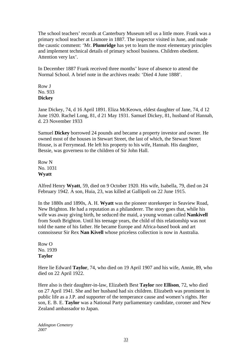The school teachers' records at Canterbury Museum tell us a little more. Frank was a primary school teacher at Lismore in 1887. The inspector visited in June, and made the caustic comment: 'Mr. **Plumridge** has yet to learn the most elementary principles and implement technical details of primary school business. Children obedient. Attention very lax'.

In December 1887 Frank received three months' leave of absence to attend the Normal School. A brief note in the archives reads: 'Died 4 June 1888'.

Row J No. 933 **Dickey** 

Jane Dickey, 74, d 16 April 1891. Eliza McKeown, eldest daughter of Jane, 74, d 12 June 1920. Rachel Long, 81, d 21 May 1931. Samuel Dickey, 81, husband of Hannah, d. 23 November 1933

Samuel **Dickey** borrowed 24 pounds and became a property investor and owner. He owned most of the houses in Stewart Street, the last of which, the Stewart Street House, is at Ferrymead. He left his property to his wife, Hannah. His daughter, Bessie, was governess to the children of Sir John Hall.

Row N No. 1031 **Wyatt** 

Alfred Henry **Wyatt**, 59, died on 9 October 1920. His wife, Isabella, 79, died on 24 February 1942. A son, Huia, 23, was killed at Gallipoli on 22 June 1915.

In the 1880s and 1890s, A. H. **Wyatt** was the pioneer storekeeper in Seaview Road, New Brighton. He had a reputation as a philanderer. The story goes that, while his wife was away giving birth, he seduced the maid, a young woman called **Nankivell**  from South Brighton. Until his teenage years, the child of this relationship was not told the name of his father. He became Europe and Africa-based book and art connoisseur Sir Rex **Nan Kivell** whose priceless collection is now in Australia.

Row O No. 1939 **Taylor** 

Here lie Edward **Taylor**, 74, who died on 19 April 1907 and his wife, Annie, 89, who died on 22 April 1922.

Here also is their daughter-in-law, Elizabeth Best **Taylor** nee **Ellison**, 72, who died on 27 April 1941. She and her husband had six children. Elizabeth was prominent in public life as a J.P. and supporter of the temperance cause and women's rights. Her son, E. B. E. **Taylor** was a National Party parliamentary candidate, coroner and New Zealand ambassador to Japan.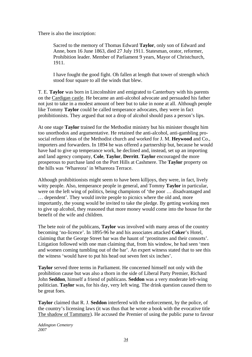There is also the inscription:

Sacred to the memory of Thomas Edward **Taylor**, only son of Edward and Anne, born 16 June 1863, died 27 July 1911. Statesman, orator, reformer, Prohibition leader. Member of Parliament 9 years, Mayor of Christchurch, 1911.

I have fought the good fight. Oh fallen at length that tower of strength which stood four square to all the winds that blew.

T. E. **Taylor** was born in Lincolnshire and emigrated to Canterbury with his parents on the Cardigan castle. He became an anti-alcohol advocate and persuaded his father not just to take in a modest amount of beer but to take in none at all. Although people like Tommy **Taylor** could be called temperance advocates, they were in fact prohibitionists. They argued that not a drop of alcohol should pass a person's lips.

At one stage **Taylor** trained for the Methodist ministry but his minister thought him too unorthodox and argumentative. He retained the anti-alcohol, anti-gambling prosocial reform ideas of the Methodist church and worked for J. M. **Heywood** and Co., importers and forwarders. In 1894 he was offered a partnership but, because he would have had to give up temperance work, he declined and, instead, set up an importing and land agency company, **Cole**, **Taylor**, **Derritt**. **Taylor** encouraged the more prosperous to purchase land on the Port Hills at Cashmere. The **Taylor** property on the hills was 'Whareora' in Whareora Terrace.

Although prohibitionists might seem to have been killjoys, they were, in fact, lively witty people. Also, temperance people in general, and Tommy **Taylor** in particular, were on the left wing of politics, being champions of 'the poor … disadvantaged and … dependent'. They would invite people to picnics where the old and, more importantly, the young would be invited to take the pledge. By getting working men to give up alcohol, they reasoned that more money would come into the house for the benefit of the wife and children.

The bete noir of the publicans, **Taylor** was involved with many areas of the country becoming 'no-licence'. In 1895-96 he and his associates attacked **Coker**'s Hotel, claiming that the George Street bar was the haunt of 'prostitutes and their consorts'. Litigation followed with one man claiming that, from his window, he had seen 'men and women coming tumbling out of the bar'. An expert witness stated that to see this the witness 'would have to put his head out seven feet six inches'.

**Taylor** served three terms in Parliament. He concerned himself not only with the prohibition cause but was also a thorn in the side of Liberal Party Premier, Richard John **Seddon**, himself a friend of publicans. **Seddon** was a very moderate left-wing politician. **Taylor** was, for his day, very left wing. The drink question caused them to be great foes.

**Taylor** claimed that R. J. **Seddon** interfered with the enforcement, by the police, of the country's licensing laws (it was thus that he wrote a book with the evocative title The shadow of Tammany). He accused the Premier of using the public purse to favour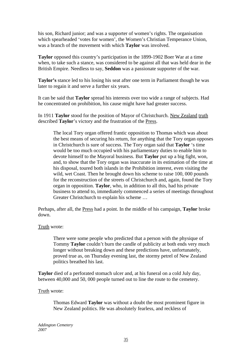his son, Richard junior; and was a supporter of women's rights. The organisation which spearheaded 'votes for women', the Women's Christian Temperance Union, was a branch of the movement with which **Taylor** was involved.

**Taylor** opposed this country's participation in the 1899-1902 Boer War at a time when, to take such a stance, was considered to be against all that was held dear in the British Empire. Needless to say, **Seddon** was a passionate supporter of the war.

**Taylor's** stance led to his losing his seat after one term in Parliament though he was later to regain it and serve a further six years.

It can be said that **Taylor** spread his interests over too wide a range of subjects. Had he concentrated on prohibition, his cause might have had greater success.

In 1911 **Taylor** stood for the position of Mayor of Christchurch. New Zealand truth described **Taylor**'s victory and the frustration of the Press.

The local Tory organ offered frantic opposition to Thomas which was about the best means of securing his return, for anything that the Tory organ opposes in Christchurch is sure of success. The Tory organ said that **Taylor** 's time would be too much occupied with his parliamentary duties to enable him to devote himself to the Mayoral business. But **Taylor** put up a big fight, won, and, to show that the Tory organ was inaccurate in its estimation of the time at his disposal, toured both islands in the Prohibition interest, even visiting the wild, wet Coast. Then he brought down his scheme to raise 100, 000 pounds for the reconstruction of the streets of Christchurch and, again, found the Tory organ in opposition. **Taylor**, who, in addition to all this, had his private business to attend to, immediately commenced a series of meetings throughout Greater Christchurch to explain his scheme …

Perhaps, after all, the Press had a point. In the middle of his campaign, **Taylor** broke down.

#### Truth wrote:

There were some people who predicted that a person with the physique of Tommy **Taylor** couldn't burn the candle of publicity at both ends very much longer without breaking down and these predictions have, unfortunately, proved true as, on Thursday evening last, the stormy petrel of New Zealand politics breathed his last.

**Taylor** died of a perforated stomach ulcer and, at his funeral on a cold July day, between 40,000 and 50, 000 people turned out to line the route to the cemetery.

#### Truth wrote:

Thomas Edward **Taylor** was without a doubt the most prominent figure in New Zealand politics. He was absolutely fearless, and reckless of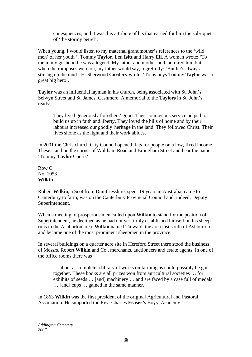conesquences, and it was this attribute of his that earned for him the sobriquet of 'the stormy petrel'.

When young, I would listen to my maternal grandmother's references to the 'wild men' of her youth ', Tommy **Taylor**, Len **Isitt** and Harry **Ell**. A woman wrote: 'To me in my girlhood he was a legend. My father and mother both admired him but, when the rumpuses were on, my father would say, regretfully: 'But he's always stirring up the mud'. H. Sherwood **Cordery** wrote: 'To us boys Tommy **Taylor** was a great big hero'.

**Taylor** was an influential layman in his church, being associated with St. John's, Selwyn Street and St. James, Cashmere. A memorial to the **Taylors** in St. John's reads:

They lived generously for others' good. Their courageous service helped to build us up in faith and liberty. They loved the hills of home and by their labours increased our goodly heritage in the land. They followed Christ. Their lives shone as the light and their work abides.

In 2001 the Christchurch City Council opened flats for people on a low, fixed income. These stand on the corner of Waltham Road and Brougham Street and bear the name 'Tommy **Taylor** Courts'.

Row O No. 1053 **Wilkin** 

Robert **Wilkin**, a Scot from Dumfriesshire, spent 19 years in Australia; came to Canterbury to farm; was on the Canterbury Provincial Council and, indeed, Deputy Superintendent.

When a meeting of prosperous men called upon **Wilkin** to stand for the position of Superintendent, he declined as he had not yet firmly established himself on his sheep runs in the Ashburton area. **Wilkin** named Tinwald, the area just south of Ashburton and became one of the most prominent sheepmen in the province.

In several buildings on a quarter acre site in Hereford Street there stood the business of Messrs. Robert **Wilkin** and Co., merchants, auctioneers and estate agents. In one of the office rooms there was

… about as complete a library of works on farming as could possibly be got together. These books are all prizes won from agricultural societies … for exhibits of seeds … [and] machinery … and are faced by a case full of medals … [and] cups … gained in the same manner.

In 1863 **Wilkin** was the first president of the original Agricultural and Pastoral Association. He supported the Rev. Charles **Fraser's** Boys' Academy.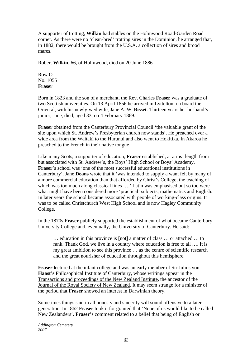A supporter of trotting, **Wilkin** had stables on the Holmwood Road-Garden Road corner. As there were no 'clean-bred' trotting sires in the Dominion, he arranged that, in 1882, there would be brought from the U.S.A. a collection of sires and brood mares.

Robert **Wilkin**, 66, of Holmwood, died on 20 June 1886

Row O No. 1055 **Fraser** 

Born in 1823 and the son of a merchant, the Rev. Charles **Fraser** was a graduate of two Scottish universities. On 13 April 1856 he arrived in Lyttelton, on board the Oriental, with his newly-wed wife, Jane A. W. **Bisset**. Thirteen years her husband's junior, Jane, died, aged 33, on 4 February 1869.

**Fraser** obtained from the Canterbury Provincial Council 'the valuable grant of the site upon which St. Andrew's Presbyterian church now stands'. He preached over a wide area from the Waitaki to the Hurunui and also went to Hokitika. In Akaroa he preached to the French in their native tongue

Like many Scots, a supporter of education, **Fraser** established, at arms' length from but associated with St. Andrew's, the Boys' High School or Boys' Academy. **Fraser**'s school was 'one of the most successful educational institutions in Canterbury'. Jane **Deans** wrote that it 'was intended to supply a want felt by many of a more commercial education than that afforded by Christ's College, the teaching of which was too much along classical lines ....' Latin was emphasised but so too were what might have been considered more 'practical' subjects, mathematics and English. In later years the school became associated with people of working-class origins. It was to be called Christchurch West High School and is now Hagley Community College.

In the 1870s **Fraser** publicly supported the establishment of what became Canterbury University College and, eventually, the University of Canterbury. He said:

… education in this province is [not] a matter of class … or attached … to rank. Thank God, we live in a country where education is free to all …. It is my great ambition to see this province … as the centre of scientific research and the great nourisher of education throughout this hemisphere.

**Fraser** lectured at the infant college and was an early member of Sir Julius von **Haast's** Philosophical Institute of Canterbury, whose writings appear in the Transactions and proceedings of the New Zealand Institute, the ancestor of the Journal of the Royal Society of New Zealand. It may seem strange for a minister of the period that **Fraser** showed an interest in Darwinian theory.

Sometimes things said in all honesty and sincerity will sound offensive to a later generation. In 1862 **Fraser** took it for granted that 'None of us would like to be called New Zealanders'. **Fraser'**s comment related to a belief that being of English or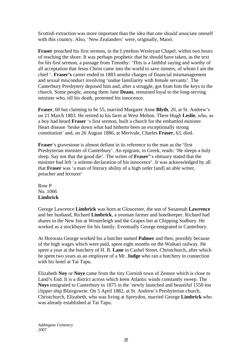Scottish extraction was more important than the idea that one should associate oneself with this country. Also, 'New Zealanders' were, originally, Maori.

**Fraser** preached his first sermon, in the Lyttelton Wesleyan Chapel, within two hours of reaching the shore. It was perhaps prophetic that he should have taken, as the text for his first sermon, a passage from Timothy: 'This is a faithful saying and worthy of all acceptation that Jesus Christ came into the world to save sinners, of whom I am the chief '. **Fraser's** career ended in 1883 amidst charges of financial mismanagement and sexual misconduct involving 'undue familiarity with female servants'. The Canterbury Presbytery deposed him and, after a struggle, got from him the keys to the church. Some people, among them Jane **Deans**, remained loyal to the long-serving minister who, till his death, protested his innocence.

**Fraser**, 60 but claiming to be 55, married Margaret Anne **Blyth**, 20, at St. Andrew's on 21 March 1883. He retired to his farm at West Melton. There Hugh **Leslie**, who, as a boy had heard **Fraser** 's first sermon, built a church for the embattled minister. Heart disease 'broke down what had hitherto been an exceptionally strong constitution' and, on 26 August 1886, at Merivale, Charles **Fraser**, 63, died.

**Fraser**'s gravestone is almost defiant in its reference to the man as the 'first Presbyterian minister of Canterbury'. An epigram, in Greek, reads: 'He sleeps a holy sleep. Say not that the good die'. The writer of **Fraser'**'s obituary stated that the minister had left 'a solemn declaration of his innocence'. It was acknowledged by all that **Fraser** was 'a man of literary ability of a high order [and] an able writer, preacher and lecturer'

Row P No. 1066 **Limbrick** 

George Lawrence **Limbrick** was born at Gloucester, the son of Susannah **Lawrence**  and her husband, Richard **Limbrick**, a yeoman farmer and hotelkeeper. Richard had shares in the New Inn at Westerleigh and the Grapes Inn at Chipping Sodbury. He worked as a stockbuyer for his family. Eventually George emigrated to Canterbury.

At Hororata George worked for a butcher named **Palmer** and then, possibly because of the high wages which were paid, spent eight months on the Waikari railway. He spent a year at the butchery of H. B. **Lane** in Cashel Street, Christchurch, after which he spent two years as an employee of a Mr. **Judge** who ran a butchery in connection with his hotel at Tai Tapu.

Elizabeth **Noy** or **Noye** came from the tiny Cornish town of Zennor which is close to Land's End. It is a district across which keen Atlantic winds constantly sweep. The **Noys** emigrated to Canterbury in 1875 in the 'newly launched and beautiful 1550 ton clipper ship Blairgowrie. On 5 April 1882, at St. Andrew's Presbyterian church, Christchurch, Elizabeth, who was living at Spreydon, married George **Limbrick** who was already established at Tai Tapu.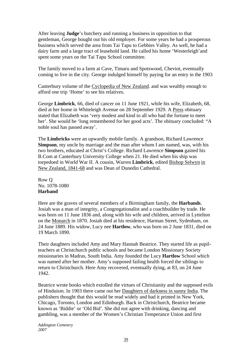After leaving **Judge**'s butchery and running a business in opposition to that gentleman, George bought out his old employer. For some years he had a prosperous business which served the area from Tai Tapu to Gebbies Valley. As well, he had a dairy farm and a large tract of leasehold land. He called his home 'Westerleigh'and spent some years on the Tai Tapu School committee.

The family moved to a farm at Cave, Timaru and Spotswood, Cheviot, eventually coming to live in the city. George indulged himself by paying for an entry in the 1903

Canterbury volume of the Cyclopedia of New Zealand. and was wealthy enough to afford one trip 'Home' to see his relatives.

George **Limbrick**, 66, died of cancer on 11 June 1921, while his wife, Elizabeth, 68, died at her home in Whiteleigh Avenue on 28 September 1929. A Press obituary stated that Elizabeth was 'very modest and kind to all who had the fortune to meet her'. She would be 'long remembered for her good acts'. The obituary concluded: "A noble soul has passed away'.

The **Limbricks** were an upwardly mobile family. A grandson, Richard Lawrence **Simpson**, my uncle by marriage and the man after whom I am named, was, with his two brothers, educated at Christ's College. Richard Lawrence **Simpson** gained his B.Com at Canterbury University College when 21. He died when his ship was torpedoed in World War II. A cousin, Warren **Limbrick**, edited Bishop Selwyn in New Zealand, 1841-68 and was Dean of Dunedin Cathedral.

Row Q No. 1078-1080 **Harband** 

Here are the graves of several members of a Birmingham family, the **Harbands**. Josiah was a man of integrity, a Congregationalist and a coachbuilder by trade. He was born on 11 June 1836 and, along with his wife and children, arrived in Lyttelton on the Monarch in 1870. Josiah died at his residence, Harman Street, Sydenham, on 24 June 1889. His widow, Lucy nee **Hartlow**, who was born on 2 June 1831, died on 19 March 1890.

Their daughters included Amy and Mary Hannah Beatrice. They started life as pupilteachers at Christchurch public schools and became London Missionary Society missionaries in Madras, South India. Amy founded the Lucy **Hartlow** School which was named after her mother. Amy's supposed failing health forced the siblings to return to Christchurch. Here Amy recovered, eventually dying, at 83, on 24 June 1942.

Beatrice wrote books which extolled the virtues of Christianity and the supposed evils of Hinduism. In 1903 there came out her Daughters of darkness in sunny India. The publishers thought that this would be read widely and had it printed in New York, Chicago, Toronto, London and Edinburgh. Back in Christchurch, Beatrice became known as 'Biddie' or 'Old Bid'. She did not agree with drinking, dancing and gambling, was a member of the Women's Christian Temperance Union and first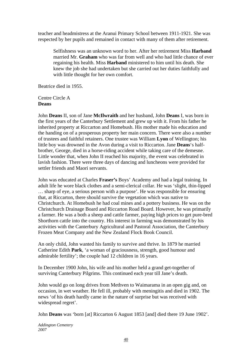teacher and headmistress at the Aranui Primary School between 1911-1921. She was respected by her pupils and remained in contact with many of them after retirement.

Selfishness was an unknown word to her. After her retirement Miss **Harband** married Mr. **Graham** who was far from well and who had little chance of ever regaining his health. Miss **Harband** ministered to him until his death. She knew the job she had undertaken but she carried out her duties faithfully and with little thought for her own comfort.

Beatrice died in 1955.

Centre Circle A **Deans** 

John **Deans** II, son of Jane **McIlwraith** and her husband, John **Deans** I, was born in the first years of the Canterbury Settlement and grew up with it. From his father he inherited property at Riccarton and Homebush. His mother made his education and the handing on of a prosperous property her main concern. There were also a number of trustees and faithful retainers. One trustee was William **Lyon** of Wellington; his little boy was drowned in the Avon during a visit to Riccarton. Jane **Deans**'s halfbrother, George, died in a horse-riding accident while taking care of the demesne. Little wonder that, when John II reached his majority, the event was celebrated in lavish fashion. There were three days of dancing and luncheons were provided for settler friends and Maori servants.

John was educated at Charles **Fraser's** Boys' Academy and had a legal training. In adult life he wore black clothes and a semi-clerical collar. He was 'slight, thin-lipped … sharp of eye, a serious person with a purpose'. He was responsible for ensuring that, at Riccarton, there should survive the vegetation which was native to Christchurch. At Homebush he had coal mines and a pottery business. He was on the Christchurch Drainage Board and Riccarton Road Board. However, he was primarily a farmer. He was a both a sheep and cattle farmer, paying high prices to get pure-bred Shorthorn cattle into the country. His interest in farming was demonstrated by his activities with the Canterbury Agricultural and Pastoral Association, the Canterbury Frozen Meat Company and the New Zealand Flock Book Council.

An only child, John wanted his family to survive and thrive. In 1879 he married Catherine Edith **Park**, 'a woman of graciousness, strength, good humour and admirable fertility'; the couple had 12 children in 16 years.

In December 1900 John, his wife and his mother held a grand get-together of surviving Canterbury Pilgrims. This continued each year till Jane's death.

John would go on long drives from Methven to Waimarama in an open gig and, on occasion, in wet weather. He fell ill, probably with meningitis and died in 1902. The news 'of his death hardly came in the nature of surprise but was received with widespread regret'.

John **Deans** was 'born [at] Riccarton 6 August 1853 [and] died there 19 June 1902'.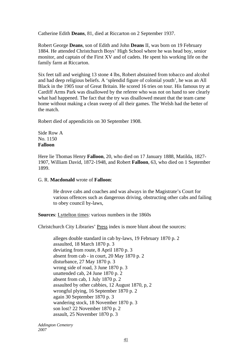Catherine Edith **Deans**, 81, died at Riccarton on 2 September 1937.

Robert George **Deans**, son of Edith and John **Deans** II, was born on 19 February 1884. He attended Christchurch Boys' High School where he was head boy, senior monitor, and captain of the First XV and of cadets. He spent his working life on the family farm at Riccarton.

Six feet tall and weighing 13 stone 4 lbs, Robert abstained from tobacco and alcohol and had deep religious beliefs. A 'splendid figure of colonial youth', he was an All Black in the 1905 tour of Great Britain. He scored 16 tries on tour. His famous try at Cardiff Arms Park was disallowed by the referee who was not on hand to see clearly what had happened. The fact that the try was disallowed meant that the team came home without making a clean sweep of all their games. The Welsh had the better of the match.

Robert died of appendicitis on 30 September 1908.

#### Side Row A No. 1150 **Falloon**

Here lie Thomas Henry **Falloon**, 20, who died on 17 January 1888, Matilda, 1827- 1907, William David, 1872-1948, and Robert **Falloon**, 63, who died on 1 September 1899.

#### G. R. **Macdonald** wrote of **Falloon**:

He drove cabs and coaches and was always in the Magistrate's Court for various offences such as dangerous driving, obstructing other cabs and failing to obey council by-laws,

**Sources**: Lyttelton times: various numbers in the 1860s

Christchurch City Libraries' Press index is more blunt about the sources:

alleges double standard in cab by-laws, 19 February 1870 p. 2 assaulted, 18 March 1870 p. 3 deviating from route, 8 April 1870 p. 3 absent from cab - in court, 20 May 1870 p. 2 disturbance, 27 May 1870 p. 3 wrong side of road, 3 June 1870 p. 3 unattended cab, 24 June 1870 p. 2 absent from cab, 1 July 1870 p. 2 assaulted by other cabbies, 12 August 1870, p, 2 wrongful plying, 16 September 1870 p. 2 again 30 September 1870 p. 3 wandering stock, 18 November 1870 p. 3 son lost? 22 November 1870 p. 2 assault, 25 November 1870 p. 3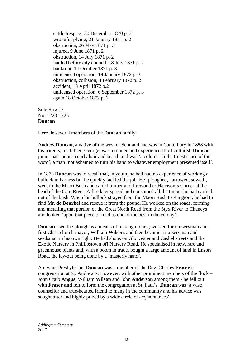cattle trespass, 30 December 1870 p. 2 wrongful plying, 21 January 1871 p. 2 obstruction, 26 May 1871 p. 3 injured, 9 June 1871 p. 2 obstruction, 14 July 1871 p. 2 hauled before city council, 18 July 1871 p. 2 bankrupt, 14 October 1871 p. 3 unlicensed operation, 19 January 1872 p. 3 obstruction, collision, 4 February 1872 p. 2 accident, 18 April 1872 p.2 unlicensed operation, 6 September 1872 p. 3 again 18 October 1872 p. 2

Side Row D No. 1223-1225 **Duncan** 

Here lie several members of the **Duncan** family.

Andrew **Duncan**, a native of the west of Scotland and was in Canterbury in 1858 with his parents; his father, George, was a trained and experienced horticulturist. **Duncan** junior had 'auburn curly hair and beard' and was 'a colonist in the truest sense of the word', a man 'not ashamed to turn his hand to whatever employment presented itself'.

In 1873 **Duncan** was to recall that, in youth, he had had no experience of working a bullock in harness but he quickly tackled the job. He 'ploughed, harrowed, sowed', went to the Maori Bush and carted timber and firewood to Harrison's Corner at the head of the Cam River. A fire later spread and consumed all the timber he had carried out of the bush. When his bullock strayed from the Maori Bush to Rangiora, he had to find Mr. **de Bourbel** and rescue it from the pound. He worked on the roads, forming and metalling that portion of the Great North Road from the Styx River to Chaneys and looked 'upon that piece of road as one of the best in the colony'.

**Duncan** used the plough as a means of making money, worked for nurseryman and first Christchurch mayor, William **Wilson**, and then became a nurseryman and seedsman in his own right. He had shops on Gloucester and Cashel streets and the Exotic Nursery in Phillipstown off Nursery Road. He specialised in new, rare and greenhouse plants and, with a boom in trade, bought a large amount of land in Ensors Road, the lay-out being done by a 'masterly hand'.

A devout Presbyterian, **Duncan** was a member of the Rev. Charles **Fraser**'s congregation at St. Andrew's. However, with other prominent members of the flock – John Craib **Angus**, William **Wilson** and John **Anderson** among them - he fell out with **Fraser and** left to form the congregation at St. Paul's. **Duncan** was 'a wise counsellor and true-hearted friend to many in the community and his advice was sought after and highly prized by a wide circle of acquaintances'.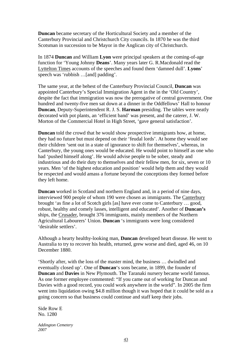**Duncan** became secretary of the Horticultural Society and a member of the Canterbury Provincial and Christchurch City councils. In 1870 he was the third Scotsman in succession to be Mayor in the Anglican city of Christchurch.

In 1874 **Duncan** and William **Lyon** were principal speakers at the coming-of-age function for 'Young Johnny **Deans**'. Many years later G. R.Macdonald read the Lyttelton Times accounts of the speeches and found them 'damned dull'. **Lyons**' speech was 'rubbish …[and] padding'.

The same year, at the behest of the Canterbury Provincial Council, **Duncan** was appointed Canterbury's Special Immigration Agent in the in the 'Old Country', despite the fact that immigration was now the prerogative of central government. One hundred and twenty-five men sat down at a dinner in the Oddfellows' Hall to honour **Duncan**, Deputy-Superintendent R. J. S. **Harman** presiding. The tables were neatly decorated with pot plants, an 'efficient band' was present, and the caterer, J. W. Morton of the Commercial Hotel in High Street, 'gave general satisfaction'.

**Duncan** told the crowd that he would show prospective immigrants how, at home, they had no future but must depend on their 'feudal lords'. At home they would see their children 'sent out in a state of ignorance to shift for themselves', whereas, in Canterbury, the young ones would be educated. He would point to himself as one who had 'pushed himself along'. He would advise people to be sober, steady and industrious and do their duty to themselves and their fellow men, for six, seven or 10 years. Men 'of the highest education and position' would help them and they would be respected and would amass a fortune beyond the conceptions they formed before they left home.

**Duncan** worked in Scotland and northern England and, in a period of nine days, interviewed 900 people of whom 190 were chosen as immigrants. The Canterbury brought 'as fine a lot of Scotch girls [as] have ever come to Canterbury … good, robust, healthy and comely lasses, intelligent and educated'. Another of **Duncan's** ships, the Crusader, brought 376 immigrants, mainly members of the Northern Agricultural Labourers' Union. **Duncan** 's immigrants were long considered 'desirable settlers'.

Although a hearty healthy-looking man, **Duncan** developed heart disease. He went to Australia to try to recover his health, returned, grew worse and died, aged 46, on 10 December 1880.

'Shortly after, with the loss of the master mind, the business … dwindled and eventually closed up'. One of **Duncan**'s sons became, in 1899, the founder of **Duncan** and **Davies** in New Plymouth. The Taranaki nursery became world famous. As one former employee commented: "If you came out of working for Duncan and Davies with a good record, you could work anywhere in the world". In 2005 the firm went into liquidation owing \$4.8 million though it was hoped that it could be sold as a going concern so that business could continue and staff keep their jobs.

Side Row E No. 1280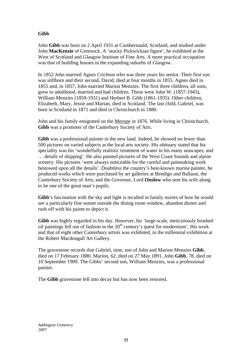# **Gibb**

John **Gibb** was born on 2 April 1931 at Cumbernauld, Scotland, and studied under John **MacKenzie** of Greenock. A 'stocky Pickwickian figure', he exhibited at the West of Scotland and Glasgow Institute of Fine Arts. A more practical occupation was that of building houses in the expanding suburbs of Glasgow.

In 1852 John married Agnes Crichton who was three years his senior. Their first son was stillborn and their second, David, died at four months in 1855. Agnes died in 1855 and, in 1857, John married Marion Menzies. The first three children, all sons, grew to adulthood, married and had children. These were John W. (1857-1943), William Menzies (1859-1931) and Herbert B. Gibb (1861-1935). Other children, Elizabeth, Mary, Jessie and Marian, died in Scotland. The last child, Gabriel, was born in Scotland in 1871 and died in Christchurch in 1880.

John and his family emigrated on the Merope in 1876. While living in Christchurch, **Gibb** was a promoter of the Canterbury Society of Arts.

**Gibb** was a professional painter in the new land. Indeed, he showed no fewer than 500 pictures on varied subjects at the local arts society. His obituary stated that his speciality was his 'wonderfully realistic treatment of water in his many seascapes, and … details of shipping'. He also painted pictures of the West Coast Sounds and alpine scenery. His pictures 'were always noticeable for the careful and painstaking work bestowed upon all the details'. Doubtless the country's best-known marine painter, he produced works which were purchased by art galleries at Bendigo and Ballarat, the Canterbury Society of Arts, and the Governor, Lord **Onslow** who sent his wife along to be one of the great man's pupils.

**Gibb**'s fascination with the sky and light is recalled in family stories of how he would see a particularly fine sunset outside the dining room window, abandon dinner and rush off with his paints to depict it.

**Gibb** was highly regarded in his day. However, his 'large-scale, meticulously brushed oil paintings fell out of fashion in the  $20<sup>th</sup>$  century's quest for modernism'. His work and that of eight other Canterbury artists was exhibited, in the millennial exhibition at the Robert Macdougall Art Gallery.

The gravestone records that Gabriel, nine, son of John and Marion Menzies **Gibb**, died on 17 February 1880. Marion, 62, died on 27 May 1891. John **Gibb**, 78, died on 10 September 1909. The Gibbs' second son, William Menzies, was a professional painter.

The **Gibb** gravestone fell into decay but has now been restored.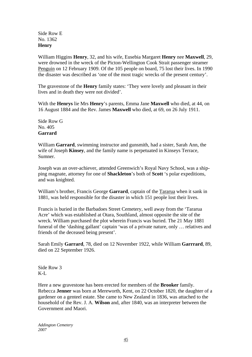Side Row E No. 1362 **Henry** 

William Higgins **Henry**, 32, and his wife, Eusebia Margaret **Henry** nee **Maxwell**, 29, were drowned in the wreck of the Picton-Wellington Cook Strait passenger steamer Penguin on 12 February 1909. Of the 105 people on board, 75 lost their lives. In 1990 the disaster was described as 'one of the most tragic wrecks of the present century'.

The gravestone of the **Henry** family states: 'They were lovely and pleasant in their lives and in death they were not divided'.

With the **Henrys** lie Mrs **Henry**'s parents, Emma Jane **Maxwell** who died, at 44, on 16 August 1884 and the Rev. James **Maxwell** who died, at 69, on 26 July 1911.

Side Row G No. 405 **Garrard**

William **Garrard**, swimming instructor and gunsmith, had a sister, Sarah Ann, the wife of Joseph **Kinsey**, and the family name is perpetuated in Kinseys Terrace, Sumner.

Joseph was an over-achiever, attended Greenwich's Royal Navy School, was a shipping magnate, attorney for one of **Shackleton**'s both of **Scott** 's polar expeditions, and was knighted.

William's brother, Francis George **Garrard**, captain of the Tararua when it sank in 1881, was held responsible for the disaster in which 151 people lost their lives.

Francis is buried in the Barbadoes Street Cemetery, well away from the 'Tararua Acre' which was established at Otara, Southland, almost opposite the site of the wreck. William purchased the plot wherein Francis was buried. The 21 May 1881 funeral of the 'dashing gallant' captain 'was of a private nature, only … relatives and friends of the deceased being present'.

Sarah Emily **Garrard**, 78, died on 12 November 1922, while William **Garrrard**, 89, died on 22 September 1926.

Side Row 3  $K-I$ .

Here a new gravestone has been erected for members of the **Brooker** family. Rebecca **Jenner** was born at Mereworth, Kent, on 22 October 1820, the daughter of a gardener on a genteel estate. She came to New Zealand in 1836, was attached to the household of the Rev. J. A. **Wilson** and, after 1840, was an interpreter between the Government and Maori.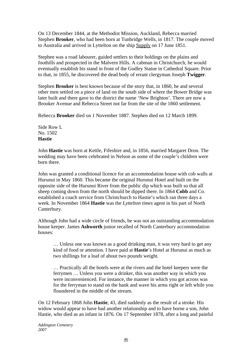On 13 December 1844, at the Methodist Mission, Auckland, Rebecca married Stephen **Brooker**, who had been born at Tunbridge Wells, in 1817. The couple moved to Australia and arrived in Lyttelton on the ship Supply on 17 June 1851.

Stephen was a road labourer, guided settlers to their holdings on the plains and foothills and prospected in the Malvern Hills. A cabman in Christchurch, he would eventually establish his stand in front of the Godley Statue in Cathedral Square. Prior to that, in 1855, he discovered the dead body of errant clergyman Joseph **Twigger**.

Stephen **Brooker** is best known because of the story that, in 1860, he and several other men settled on a piece of land on the south side of where the Bower Bridge was later built and there gave to the district the name 'New Brighton'. There are now a Brooker Avenue and Rebecca Street not far from the site of the 1860 settlement.

Rebecca **Brooker** died on 1 November 1887. Stephen died on 12 March 1899.

Side Row L No. 1502 **Hastie** 

John **Hastie** was born at Kettle, Fifeshire and, in 1856, married Margaret Dron. The wedding may have been celebrated in Nelson as some of the couple's children were born there.

John was granted a conditional licence for an accommodation house with cob walls at Hurunui in May 1860. This became the original Hurunui Hotel and built on the opposite side of the Hurunui River from the public dip which was built so that all sheep coming down from the north should be dipped there. In 1864 **Cobb** and Co. established a coach service from Christchurch to Hastie's which ran three days a week. In November 1864 **Hastie** was the *Lyttelton times* agent in his part of North Canterbury.

Although John had a wide circle of friends, he was not an outstanding accommodation house keeper. James **Ashworth** junior recalled of North Canterbury accommodation houses:

… Unless one was known as a good drinking man, it was very hard to get any kind of food or attention. I have paid at **Hastie**'s Hotel at Hurunui as much as two shillings for a loaf of about two pounds weight.

… Practically all the hotels were at the rivers and the hotel keepers were the ferrymen … Unless you were a drinker, this was another way in which you were inconvenienced. For instance, the manner in which you got across was for the ferryman to stand on the bank and wave his arms right or left while you floundered in the middle of the stream.

On 12 February 1868 John **Hastie**, 43, died suddenly as the result of a stroke. His widow would appear to have had another relationship and to have borne a son, John Hastie, who died as an infant in 1876. On 17 September 1878, after a long and painful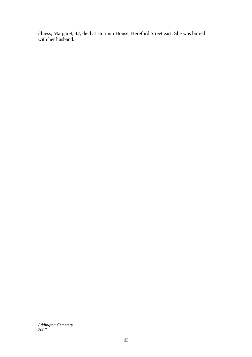illness, Margaret, 42, died at Hurunui House, Hereford Street east. She was buried with her husband.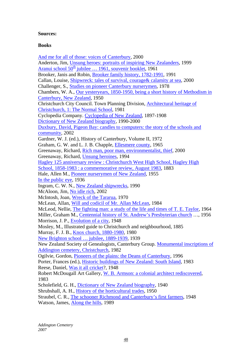## **Sources:**

## **Books**

[And me for all of those: voices of Canterbury,](http://library.christchurch.org.nz/Catalogue/keyword.asp?me+all+those+voices+canterbury+2000) 2000 Anderton, Jim, [Unsung heroes: portraits of inspiring New Zealanders,](http://library.christchurch.org.nz/Catalogue/keyword.asp?unsung+heroes+inspiring+zealanders+anderton+1999) 1999 Aranui school 50<sup>th</sup> jubilee ... 1961, souvenir booklet, 1961 Brooker, Janis and Robin, [Brooker family history, 1782-1991,](http://library.christchurch.org.nz/Catalogue/keyword.asp?brooker+janis+1782-1991) 1991 Callan, Louise, [Shipwreck: tales of survival, courage& calamity at sea,](http://library.christchurch.org.nz/Catalogue/keyword.asp?shipwreck+callan+courage+survival+sea+2000) 2000 Challenger, S., [Studies on pioneer Canterbury nurserymen](http://library.christchurch.org.nz/Catalogue/keyword.asp?studies+pioneer+canterbury+nurserymen+challenger), 1978 Chambers, W. A., [Our yesteryears, 1850-1950, being a short history of Methodism in](http://library.christchurch.org.nz/Catalogue/keyword.asp?willis+aiken+short+history+methodism+our+yesteryears+chambers)  [Canterbury, New Zealand](http://library.christchurch.org.nz/Catalogue/keyword.asp?willis+aiken+short+history+methodism+our+yesteryears+chambers), 1950 Christchurch City Council. Town Planning Division, [Architectural heritage of](http://library.christchurch.org.nz/Catalogue/keyword.asp?architectural+heritage+christchurch+normal+school+1982+3rd+ed.)  [Christchurch, 1: The Normal School,](http://library.christchurch.org.nz/Catalogue/keyword.asp?architectural+heritage+christchurch+normal+school+1982+3rd+ed.) 1981 Cyclopedia Company. [Cyclopedia of New Zealand](http://library.christchurch.org.nz/Catalogue/keyword.asp?cyclopedia+zealand+industrial+photocopied), 1897-1908 [Dictionary of New Zealand biography](http://library.christchurch.org.nz/Catalogue/keyword.asp?dictionary+zealand+biography+goodman+fielder+wattie), 1990-2000 [Duxbury, David, Pigeon Bay: candles to computers: the story of the schools and](http://library.christchurch.org.nz/Catalogue/keyword.asp?duxbury+pigeon+bay+candles+computers)  [community,](http://library.christchurch.org.nz/Catalogue/keyword.asp?duxbury+pigeon+bay+candles+computers) 2002 Gardner, W. J. (ed.), History of Canterbury, Volume II, 1972 Graham, G. W. and L. J. B. Chapple, [Ellesmere county,](http://library.christchurch.org.nz/Catalogue/keyword.asp?ellesmere+county+1965) 1965 Greenaway, Richard, [Rich man, poor man, environmentalist, thief](http://library.christchurch.org.nz/Catalogue/keyword.asp?rich+man+poor+man+greenaway+2000), 2000 Greenaway, Richard, [Unsung heroines,](http://library.christchurch.org.nz/Catalogue/keyword.asp?unsung+heroines+greenaway+richard+1994) 1994 [Hagley 125 anniversary review : Christchurch West High School, Hagley High](http://library.christchurch.org.nz/Catalogue/keyword.asp?hagley+125)  [School, 1858-1983 : a commemorative review, August 1983](http://library.christchurch.org.nz/Catalogue/keyword.asp?hagley+125), 1883 Hale, Allen M., [Pioneer nurserymen of New Zealand,](http://library.christchurch.org.nz/Catalogue/keyword.asp?allen+pioneer+nurserymen) 1955 [In the public eye](http://library.christchurch.org.nz/Catalogue/keyword.asp?in+public+eye+young+christian), 1936 Ingram, C. W. N., [New Zealand shipwrecks,](http://library.christchurch.org.nz/Catalogue/keyword.asp?zealand+7th+lambert+shipwrecks) 1990 McAloon, Jim, [No idle rich,](http://library.christchurch.org.nz/Catalogue/keyword.asp?mcaloon+idle+rich+2002+otago) 2002 McIntosh, Joan, [Wreck of the Tararua,](http://library.christchurch.org.nz/Catalogue/keyword.asp?wreck+tararua+1970) 1970 McLean, Allan, [Will and codicil of Mr. Allan McLean](http://library.christchurch.org.nz/Catalogue/keyword.asp?will+codicil+mclean+allan), 1984 McLeod, Nellie, [The fighting man: a study of the life and times of T. E. Taylor,](http://library.christchurch.org.nz/Catalogue/keyword.asp?fighting+man+taylor+life+times+1964) 1964 Miller, Graham M., [Centennial history of St. Andrew's Presbyterian church](http://library.christchurch.org.nz/Catalogue/keyword.asp?miller+centennial+andrews+1956) …, 1956 Morrison, J. P., [Evolution of a city,](http://library.christchurch.org.nz/Catalogue/keyword.asp?evolution+city+1948+morrison) 1948 Mosley, M., Illustrated guide to Christchurch and neighbourhood, 1885 Murray, F. J. B., [Knox church, 1880-1980,](http://library.christchurch.org.nz/Catalogue/keyword.asp?murray+knox+church+previously+published) 1980 [New Brighton school … jubilee, 1889-1939](http://library.christchurch.org.nz/Catalogue/keyword.asp?brighton+jubilee+district+1939+high+school), 1939 New Zealand Society of Genealogists, Canterbury Group. [Monumental inscriptions of](http://library.christchurch.org.nz/Catalogue/keyword.asp?monumental+addington)  [Addington cemetery, Christchurch](http://library.christchurch.org.nz/Catalogue/keyword.asp?monumental+addington), 1982 Ogilvie, Gordon, [Pioneers of the plains: the Deans of Canterbury](http://library.christchurch.org.nz/Catalogue/keyword.asp?pioneers+canterbury+ogilvie+deans+shoal+bay), 1996 Porter, Frances (ed.), [Historic buildings of New Zealand: South Island](http://library.christchurch.org.nz/Catalogue/keyword.asp?historic+buildings+new+zealand+south+island+1983), 1983 Reese, Daniel, [Was it all cricket](http://library.christchurch.org.nz/Catalogue/keyword.asp?was+cricket+daniel+reese)?, 1948 Robert McDougall Art Gallery, [W. B. Armson: a colonial architect rediscovered](http://library.christchurch.org.nz/Catalogue/keyword.asp?armson+colonial+architect+rediscovered+1983), 1983 Scholefield, G. H., [Dictionary of New Zealand biography](http://library.christchurch.org.nz/Catalogue/keyword.asp?dictionary+biography+scholefield+1940), 1940 Shrubshall, A. H., [History of the horticultural trades](http://library.christchurch.org.nz/Catalogue/keyword.asp?shrubshall+history+horticultural+trades), 1950 Straubel, C. R., [The schooner Richmond and Canterbury's first farmers,](http://library.christchurch.org.nz/Catalogue/keyword.asp?schooner+richmond+canterburys+first+farmers) 1948 Watson, James, [Along the hills](http://library.christchurch.org.nz/Catalogue/keyword.asp?along+hills+watson+1989), 1989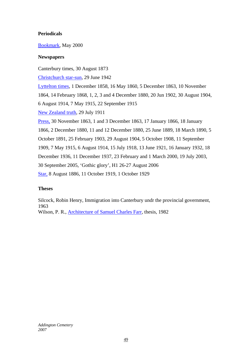# **Periodicals**

## [Bookmark,](http://library.christchurch.org.nz/Catalogue/keyword.asp?bookmark+2002+canterbury+public+library) May 2000

## **Newspapers**

Canterbury times, 30 August 1873

[Christchurch star-sun,](http://library.christchurch.org.nz/Catalogue/keyword.asp?christchurch+star-sun+1935-1958+christchurch) 29 June 1942

[Lyttelton times,](http://library.christchurch.org.nz/Catalogue/keyword.asp?lyttelton+times+shrimpton+1851) 1 December 1858, 16 May 1860, 5 December 1863, 10 November

1864, 14 February 1868, 1, 2, 3 and 4 December 1880, 20 Jun 1902, 30 August 1904,

6 August 1914, 7 May 1915, 22 September 1915

[New Zealand truth](http://library.christchurch.org.nz/Catalogue/keyword.asp?truth+weekly+title+masthead), 29 July 1911

[Press,](http://library.christchurch.org.nz/Catalogue/keyword.asp?press+1861+christchurch+microfilm) 30 November 1863, 1 and 3 December 1863, 17 January 1866, 18 January 1866, 2 December 1880, 11 and 12 December 1880, 25 June 1889, 18 March 1890, 5 October 1891, 25 February 1903, 29 August 1904, 5 October 1908, 11 September 1909, 7 May 1915, 6 August 1914, 15 July 1918, 13 June 1921, 16 January 1932, 18 December 1936, 11 December 1937, 23 February and 1 March 2000, 19 July 2003, 30 September 2005, 'Gothic glory', H1 26-27 August 2006 [Star,](http://library.christchurch.org.nz/Catalogue/keyword.asp?star+christchurch+1868-1935+title+masthead) 8 August 1886, 11 October 1919, 1 October 1929

# **Theses**

Silcock, Robin Henry, Immigration into Canterbury undr the provincial government, 1963 Wilson, P. R., [Architecture of Samuel Charles Farr,](http://library.christchurch.org.nz/Catalogue/keyword.asp?architecture+farr+thesis+wilson) thesis, 1982